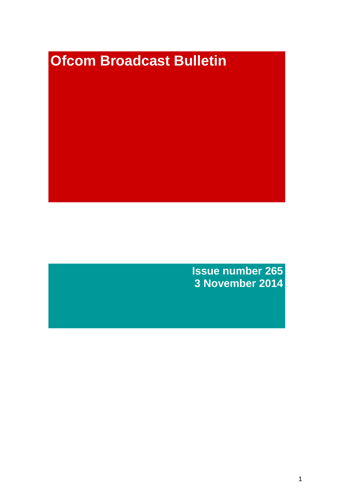# **Ofcom Broadcast Bulletin**

**Issue number 265 3 November 2014**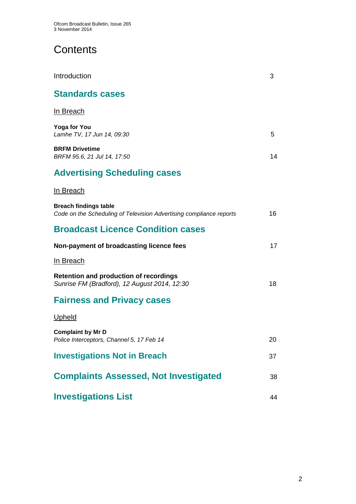# **Contents**

| Introduction                                                                                        | 3  |
|-----------------------------------------------------------------------------------------------------|----|
| <b>Standards cases</b>                                                                              |    |
| In Breach                                                                                           |    |
| <b>Yoga for You</b><br>Lamhe TV, 17 Jun 14, 09:30                                                   | 5  |
| <b>BRFM Drivetime</b><br>BRFM 95.6, 21 Jul 14, 17:50                                                | 14 |
| <b>Advertising Scheduling cases</b>                                                                 |    |
| <b>In Breach</b>                                                                                    |    |
| <b>Breach findings table</b><br>Code on the Scheduling of Television Advertising compliance reports | 16 |
| <b>Broadcast Licence Condition cases</b>                                                            |    |
| Non-payment of broadcasting licence fees                                                            | 17 |
| <u>In Breach</u>                                                                                    |    |
| <b>Retention and production of recordings</b><br>Sunrise FM (Bradford), 12 August 2014, 12:30       | 18 |
| <b>Fairness and Privacy cases</b>                                                                   |    |
| <b>Upheld</b>                                                                                       |    |
| <b>Complaint by Mr D</b><br>Police Interceptors, Channel 5, 17 Feb 14                               | 20 |
| <b>Investigations Not in Breach</b>                                                                 | 37 |
| <b>Complaints Assessed, Not Investigated</b>                                                        | 38 |
| <b>Investigations List</b>                                                                          | 44 |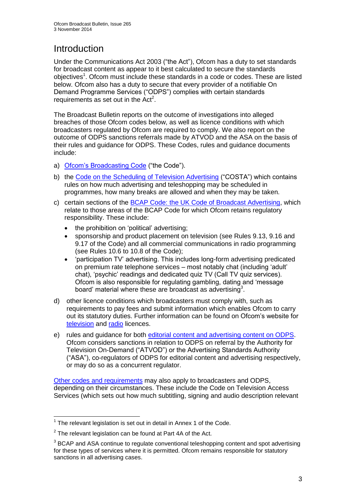# **Introduction**

Under the Communications Act 2003 ("the Act"), Ofcom has a duty to set standards for broadcast content as appear to it best calculated to secure the standards objectives<sup>1</sup>. Ofcom must include these standards in a code or codes. These are listed below. Ofcom also has a duty to secure that every provider of a notifiable On Demand Programme Services ("ODPS") complies with certain standards requirements as set out in the  $Act<sup>2</sup>$ .

The Broadcast Bulletin reports on the outcome of investigations into alleged breaches of those Ofcom codes below, as well as licence conditions with which broadcasters regulated by Ofcom are required to comply. We also report on the outcome of ODPS sanctions referrals made by ATVOD and the ASA on the basis of their rules and guidance for ODPS. These Codes, rules and guidance documents include:

- a) [Ofcom's Broadcasting Code](http://stakeholders.ofcom.org.uk/broadcasting/broadcast-codes/broadcast-code/) ("the Code").
- b) the [Code on the Scheduling of Television Advertising](http://stakeholders.ofcom.org.uk/broadcasting/broadcast-codes/advert-code/) ("COSTA") which contains rules on how much advertising and teleshopping may be scheduled in programmes, how many breaks are allowed and when they may be taken.
- c) certain sections of the [BCAP Code: the UK Code of Broadcast Advertising,](http://www.bcap.org.uk/Advertising-Codes/Broadcast-HTML.aspx) which relate to those areas of the BCAP Code for which Ofcom retains regulatory responsibility. These include:
	- the prohibition on 'political' advertising:
	- sponsorship and product placement on television (see Rules 9.13, 9.16 and 9.17 of the Code) and all commercial communications in radio programming (see Rules 10.6 to 10.8 of the Code);
	- 'participation TV' advertising. This includes long-form advertising predicated on premium rate telephone services – most notably chat (including 'adult' chat), 'psychic' readings and dedicated quiz TV (Call TV quiz services). Ofcom is also responsible for regulating gambling, dating and 'message board' material where these are broadcast as advertising<sup>3</sup>.
- d) other licence conditions which broadcasters must comply with, such as requirements to pay fees and submit information which enables Ofcom to carry out its statutory duties. Further information can be found on Ofcom's website for [television](http://licensing.ofcom.org.uk/tv-broadcast-licences/) and [radio](http://licensing.ofcom.org.uk/radio-broadcast-licensing/) licences.
- e) rules and guidance for both [editorial content and advertising content on ODPS.](http://www.atvod.co.uk/uploads/files/ATVOD_Rules_and_Guidance_Ed_2.0_May_2012.pdf) Ofcom considers sanctions in relation to ODPS on referral by the Authority for Television On-Demand ("ATVOD") or the Advertising Standards Authority ("ASA"), co-regulators of ODPS for editorial content and advertising respectively, or may do so as a concurrent regulator.

[Other codes and requirements](http://stakeholders.ofcom.org.uk/broadcasting/broadcast-codes/) may also apply to broadcasters and ODPS, depending on their circumstances. These include the Code on Television Access Services (which sets out how much subtitling, signing and audio description relevant

<sup>1</sup>  $1$  The relevant legislation is set out in detail in Annex 1 of the Code.

 $2$  The relevant legislation can be found at Part 4A of the Act.

 $3$  BCAP and ASA continue to regulate conventional teleshopping content and spot advertising for these types of services where it is permitted. Ofcom remains responsible for statutory sanctions in all advertising cases.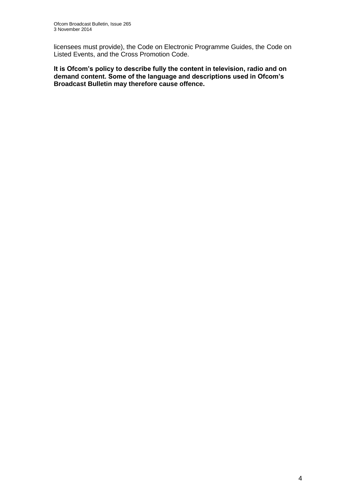licensees must provide), the Code on Electronic Programme Guides, the Code on Listed Events, and the Cross Promotion Code.

**It is Ofcom's policy to describe fully the content in television, radio and on demand content. Some of the language and descriptions used in Ofcom's Broadcast Bulletin may therefore cause offence.**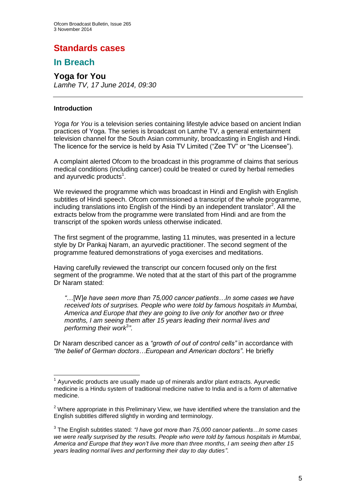# **Standards cases**

# **In Breach**

### **Yoga for You**  *Lamhe TV, 17 June 2014, 09:30*

### **Introduction**

1

*Yoga for You* is a television series containing lifestyle advice based on ancient Indian practices of Yoga. The series is broadcast on Lamhe TV, a general entertainment television channel for the South Asian community, broadcasting in English and Hindi. The licence for the service is held by Asia TV Limited ("Zee TV" or "the Licensee").

A complaint alerted Ofcom to the broadcast in this programme of claims that serious medical conditions (including cancer) could be treated or cured by herbal remedies and ayurvedic products $^1$ .

We reviewed the programme which was broadcast in Hindi and English with English subtitles of Hindi speech. Ofcom commissioned a transcript of the whole programme, including translations into English of the Hindi by an independent translator<sup>2</sup>. All the extracts below from the programme were translated from Hindi and are from the transcript of the spoken words unless otherwise indicated.

The first segment of the programme, lasting 11 minutes, was presented in a lecture style by Dr Pankaj Naram, an ayurvedic practitioner. The second segment of the programme featured demonstrations of yoga exercises and meditations.

Having carefully reviewed the transcript our concern focused only on the first segment of the programme. We noted that at the start of this part of the programme Dr Naram stated:

*"*…[W]*e have seen more than 75,000 cancer patients…In some cases we have received lots of surprises. People who were told by famous hospitals in Mumbai, America and Europe that they are going to live only for another two or three months, I am seeing them after 15 years leading their normal lives and performing their work*<sup>3</sup> *"*.

Dr Naram described cancer as a *"growth of out of control cells"* in accordance with *"the belief of German doctors…European and American doctors"*. He briefly

 $1$  Ayurvedic products are usually made up of minerals and/or plant extracts. Ayurvedic medicine is a Hindu system of traditional medicine native to India and is a form of alternative medicine.

 $2$  Where appropriate in this Preliminary View, we have identified where the translation and the English subtitles differed slightly in wording and terminology.

<sup>3</sup> The English subtitles stated: *"I have got more than 75,000 cancer patients…In some cases we were really surprised by the results. People who were told by famous hospitals in Mumbai, America and Europe that they won't live more than three months, I am seeing then after 15 years leading normal lives and performing their day to day duties"*.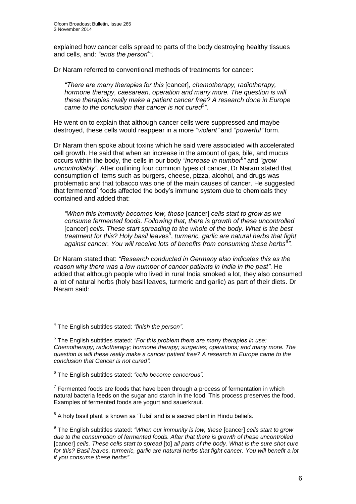explained how cancer cells spread to parts of the body destroying healthy tissues and cells, and: "ends the person<sup>4</sup>".

Dr Naram referred to conventional methods of treatments for cancer:

*"There are many therapies for this* [cancer], *chemotherapy, radiotherapy, hormone therapy, caesarean, operation and many more. The question is will these therapies really make a patient cancer free? A research done in Europe*  came to the conclusion that cancer is not cured<sup>5</sup>".

He went on to explain that although cancer cells were suppressed and maybe destroyed, these cells would reappear in a more *"violent"* and *"powerful"* form.

Dr Naram then spoke about toxins which he said were associated with accelerated cell growth. He said that when an increase in the amount of gas, bile, and mucus occurs within the body, the cells in our body *"increase in number*<sup>6</sup> *"* and *"grow uncontrollably"*. After outlining four common types of cancer, Dr Naram stated that consumption of items such as burgers, cheese, pizza, alcohol, and drugs was problematic and that tobacco was one of the main causes of cancer. He suggested that fermented<sup>7</sup> foods affected the body's immune system due to chemicals they contained and added that:

*"When this immunity becomes low, these* [cancer] *cells start to grow as we consume fermented foods. Following that, there is growth of these uncontrolled*  [cancer] *cells. These start spreading to the whole of the body. What is the best treatment for this? Holy basil leaves<sup>8</sup>, turmeric, garlic are natural herbs that fight* against cancer. You will receive lots of benefits from consuming these herbs<sup>9</sup>".

Dr Naram stated that: *"Research conducted in Germany also indicates this as the reason why there was a low number of cancer patients in India in the past"*. He added that although people who lived in rural India smoked a lot, they also consumed a lot of natural herbs (holy basil leaves, turmeric and garlic) as part of their diets. Dr Naram said:

 $8$  A holy basil plant is known as 'Tulsi' and is a sacred plant in Hindu beliefs.

 4 The English subtitles stated: *"finish the person"*.

<sup>5</sup> The English subtitles stated: *"For this problem there are many therapies in use: Chemotherapy; radiotherapy; hormone therapy; surgeries; operations; and many more. The question is will these really make a cancer patient free? A research in Europe came to the conclusion that Cancer is not cured".*

<sup>6</sup> The English subtitles stated: *"cells become cancerous".*

 $7$  Fermented foods are foods that have been through a process of fermentation in which natural bacteria feeds on the sugar and starch in the food. This process preserves the food. Examples of fermented foods are yogurt and sauerkraut.

<sup>9</sup> The English subtitles stated: *"When our immunity is low, these* [cancer] *cells start to grow due to the consumption of fermented foods. After that there is growth of these uncontrolled*  [cancer] *cells. These cells start to spread* [to] *all parts of the body. What is the sure shot cure for this? Basil leaves, turmeric, garlic are natural herbs that fight cancer. You will benefit a lot if you consume these herbs"*.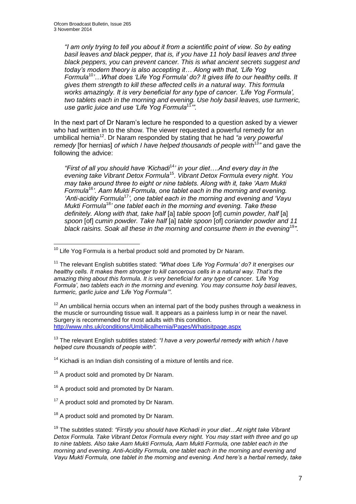*"I am only trying to tell you about it from a scientific point of view. So by eating basil leaves and black pepper, that is, if you have 11 holy basil leaves and three black peppers, you can prevent cancer. This is what ancient secrets suggest and today's modern theory is also accepting it… Along with that, 'Life Yog Formula*<sup>10</sup>*'…What does 'Life Yog Formula' do? It gives life to our healthy cells. It gives them strength to kill these affected cells in a natural way. This formula works amazingly. It is very beneficial for any type of cancer. 'Life Yog Formula', two tablets each in the morning and evening. Use holy basil leaves, use turmeric, use garlic juice and use 'Life Yog Formula*<sup>11</sup>*'".* 

In the next part of Dr Naram's lecture he responded to a question asked by a viewer who had written in to the show. The viewer requested a powerful remedy for an umbilical hernia<sup>12</sup>. Dr Naram responded by stating that he had *"a very powerful*  remedy [for hernias] of which I have helped thousands of people with<sup>13</sup>" and gave the following the advice:

*"First of all you should have 'Kichadi*<sup>14</sup>*' in your diet….And every day in the evening take Vibrant Detox Formula*<sup>15</sup>*. Vibrant Detox Formula every night. You may take around three to eight or nine tablets. Along with it, take 'Aam Mukti Formula*<sup>16</sup>*'. Aam Mukti Formula, one tablet each in the morning and evening. 'Anti-acidity Formula*<sup>17</sup>*', one tablet each in the morning and evening and 'Vayu Mukti Formula*<sup>18</sup>*' one tablet each in the morning and evening. Take these definitely. Along with that, take half* [a] *table spoon* [of] *cumin powder, half* [a] *spoon* [of] *cumin powder. Take half* [a] *table spoon* [of] *coriander powder and 11*  black raisins. Soak all these in the morning and consume them in the evening<sup>19</sup>".

 $12$  An umbilical hernia occurs when an internal part of the body pushes through a weakness in the muscle or surrounding tissue wall. It appears as a painless lump in or near the navel. Surgery is recommended for most adults with this condition. <http://www.nhs.uk/conditions/Umbilicalhernia/Pages/Whatisitpage.aspx>

<sup>13</sup> The relevant English subtitles stated*: "I have a very powerful remedy with which I have helped cure thousands of people with"*.

 $14$  Kichadi is an Indian dish consisting of a mixture of lentils and rice.

- $15$  A product sold and promoted by Dr Naram.
- $16$  A product sold and promoted by Dr Naram.
- $17$  A product sold and promoted by Dr Naram.

<sup>1</sup>  $10$  Life Yog Formula is a herbal product sold and promoted by Dr Naram.

<sup>11</sup> The relevant English subtitles stated: *"What does 'Life Yog Formula' do? It energises our healthy cells. It makes them stronger to kill cancerous cells in a natural way. That's the amazing thing about this formula. It is very beneficial for any type of cancer. 'Life Yog Formula', two tablets each in the morning and evening. You may consume holy basil leaves, turmeric, garlic juice and 'Life Yog Formula'"*.

<sup>&</sup>lt;sup>18</sup> A product sold and promoted by Dr Naram.

<sup>19</sup> The subtitles stated: *"Firstly you should have Kichadi in your diet…At night take Vibrant Detox Formula. Take Vibrant Detox Formula every night. You may start with three and go up to nine tablets. Also take Aam Mukti Formula, Aam Mukti Formula, one tablet each in the morning and evening. Anti-Acidity Formula, one tablet each in the morning and evening and Vayu Mukti Formula, one tablet in the morning and evening. And here's a herbal remedy, take*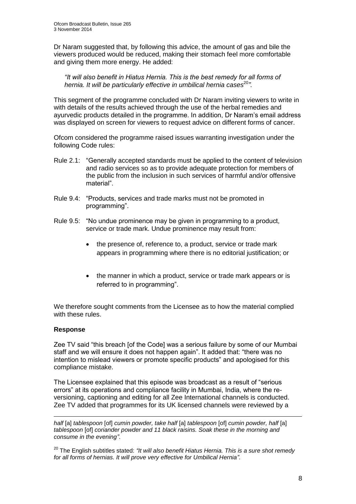Dr Naram suggested that, by following this advice, the amount of gas and bile the viewers produced would be reduced, making their stomach feel more comfortable and giving them more energy. He added:

*"It will also benefit in Hiatus Hernia. This is the best remedy for all forms of hernia. It will be particularly effective in umbilical hernia cases*<sup>20</sup>".

This segment of the programme concluded with Dr Naram inviting viewers to write in with details of the results achieved through the use of the herbal remedies and ayurvedic products detailed in the programme. In addition, Dr Naram's email address was displayed on screen for viewers to request advice on different forms of cancer.

Ofcom considered the programme raised issues warranting investigation under the following Code rules:

- Rule 2.1: "Generally accepted standards must be applied to the content of television and radio services so as to provide adequate protection for members of the public from the inclusion in such services of harmful and/or offensive material".
- Rule 9.4: "Products, services and trade marks must not be promoted in programming".
- Rule 9.5: "No undue prominence may be given in programming to a product, service or trade mark. Undue prominence may result from:
	- the presence of, reference to, a product, service or trade mark appears in programming where there is no editorial justification; or
	- the manner in which a product, service or trade mark appears or is referred to in programming".

We therefore sought comments from the Licensee as to how the material complied with these rules.

### **Response**

1

Zee TV said "this breach [of the Code] was a serious failure by some of our Mumbai staff and we will ensure it does not happen again". It added that: "there was no intention to mislead viewers or promote specific products" and apologised for this compliance mistake.

The Licensee explained that this episode was broadcast as a result of "serious errors" at its operations and compliance facility in Mumbai, India, where the reversioning, captioning and editing for all Zee International channels is conducted. Zee TV added that programmes for its UK licensed channels were reviewed by a

*half* [a] *tablespoon* [of] *cumin powder, take half* [a] *tablespoon* [of] *cumin powder, half* [a] *tablespoon* [of] *coriander powder and 11 black raisins. Soak these in the morning and consume in the evening"*.

<sup>20</sup> The English subtitles stated: *"It will also benefit Hiatus Hernia. This is a sure shot remedy for all forms of hernias. It will prove very effective for Umbilical Hernia"*.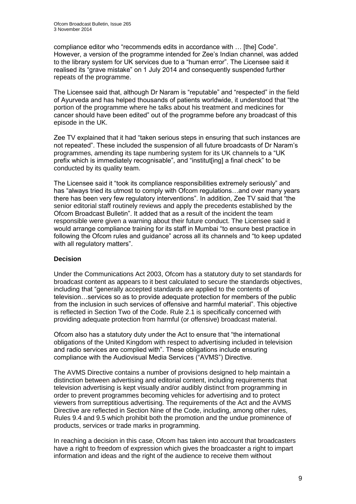compliance editor who "recommends edits in accordance with … [the] Code". However, a version of the programme intended for Zee's Indian channel, was added to the library system for UK services due to a "human error". The Licensee said it realised its "grave mistake" on 1 July 2014 and consequently suspended further repeats of the programme.

The Licensee said that, although Dr Naram is "reputable" and "respected" in the field of Ayurveda and has helped thousands of patients worldwide, it understood that "the portion of the programme where he talks about his treatment and medicines for cancer should have been edited" out of the programme before any broadcast of this episode in the UK.

Zee TV explained that it had "taken serious steps in ensuring that such instances are not repeated". These included the suspension of all future broadcasts of Dr Naram's programmes, amending its tape numbering system for its UK channels to a "UK prefix which is immediately recognisable", and "institut[ing] a final check" to be conducted by its quality team.

The Licensee said it "took its compliance responsibilities extremely seriously" and has "always tried its utmost to comply with Ofcom regulations…and over many years there has been very few regulatory interventions". In addition, Zee TV said that "the senior editorial staff routinely reviews and apply the precedents established by the Ofcom Broadcast Bulletin". It added that as a result of the incident the team responsible were given a warning about their future conduct. The Licensee said it would arrange compliance training for its staff in Mumbai "to ensure best practice in following the Ofcom rules and guidance" across all its channels and "to keep updated with all regulatory matters".

### **Decision**

Under the Communications Act 2003, Ofcom has a statutory duty to set standards for broadcast content as appears to it best calculated to secure the standards objectives, including that "generally accepted standards are applied to the contents of television…services so as to provide adequate protection for members of the public from the inclusion in such services of offensive and harmful material". This objective is reflected in Section Two of the Code. Rule 2.1 is specifically concerned with providing adequate protection from harmful (or offensive) broadcast material.

Ofcom also has a statutory duty under the Act to ensure that "the international obligations of the United Kingdom with respect to advertising included in television and radio services are complied with". These obligations include ensuring compliance with the Audiovisual Media Services ("AVMS") Directive.

The AVMS Directive contains a number of provisions designed to help maintain a distinction between advertising and editorial content, including requirements that television advertising is kept visually and/or audibly distinct from programming in order to prevent programmes becoming vehicles for advertising and to protect viewers from surreptitious advertising. The requirements of the Act and the AVMS Directive are reflected in Section Nine of the Code, including, among other rules, Rules 9.4 and 9.5 which prohibit both the promotion and the undue prominence of products, services or trade marks in programming.

In reaching a decision in this case, Ofcom has taken into account that broadcasters have a right to freedom of expression which gives the broadcaster a right to impart information and ideas and the right of the audience to receive them without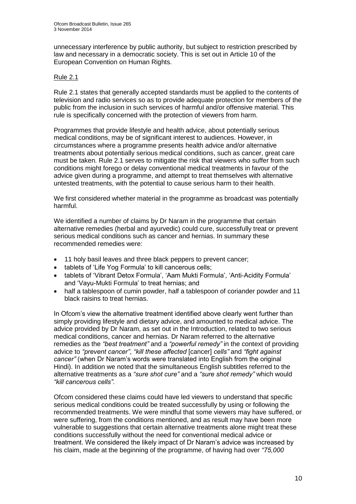unnecessary interference by public authority, but subject to restriction prescribed by law and necessary in a democratic society. This is set out in Article 10 of the European Convention on Human Rights.

### Rule 2.1

Rule 2.1 states that generally accepted standards must be applied to the contents of television and radio services so as to provide adequate protection for members of the public from the inclusion in such services of harmful and/or offensive material. This rule is specifically concerned with the protection of viewers from harm.

Programmes that provide lifestyle and health advice, about potentially serious medical conditions, may be of significant interest to audiences. However, in circumstances where a programme presents health advice and/or alternative treatments about potentially serious medical conditions, such as cancer, great care must be taken. Rule 2.1 serves to mitigate the risk that viewers who suffer from such conditions might forego or delay conventional medical treatments in favour of the advice given during a programme, and attempt to treat themselves with alternative untested treatments, with the potential to cause serious harm to their health.

We first considered whether material in the programme as broadcast was potentially harmful.

We identified a number of claims by Dr Naram in the programme that certain alternative remedies (herbal and ayurvedic) could cure, successfully treat or prevent serious medical conditions such as cancer and hernias. In summary these recommended remedies were:

- 11 holy basil leaves and three black peppers to prevent cancer;
- tablets of 'Life Yog Formula' to kill cancerous cells;
- tablets of 'Vibrant Detox Formula', 'Aam Mukti Formula', 'Anti-Acidity Formula' and 'Vayu-Mukti Formula' to treat hernias; and
- half a tablespoon of cumin powder, half a tablespoon of coriander powder and 11 black raisins to treat hernias.

In Ofcom's view the alternative treatment identified above clearly went further than simply providing lifestyle and dietary advice, and amounted to medical advice. The advice provided by Dr Naram, as set out in the Introduction, related to two serious medical conditions, cancer and hernias. Dr Naram referred to the alternative remedies as the *"best treatment"* and a *"powerful remedy"* in the context of providing advice to *"prevent cancer"*, *"kill these affected* [cancer] *cells"* and *"fight against cancer"* (when Dr Naram's words were translated into English from the original Hindi). In addition we noted that the simultaneous English subtitles referred to the alternative treatments as a *"sure shot cure"* and a *"sure shot remedy"* which would *"kill cancerous cells"*.

Ofcom considered these claims could have led viewers to understand that specific serious medical conditions could be treated successfully by using or following the recommended treatments. We were mindful that some viewers may have suffered, or were suffering, from the conditions mentioned, and as result may have been more vulnerable to suggestions that certain alternative treatments alone might treat these conditions successfully without the need for conventional medical advice or treatment. We considered the likely impact of Dr Naram's advice was increased by his claim, made at the beginning of the programme, of having had over *"75,000*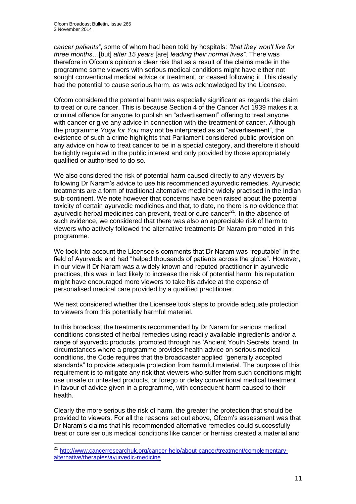*cancer patients"*, some of whom had been told by hospitals: *"that they won't live for three months…*[but] *after 15 years* [are] *leading their normal lives"*. There was therefore in Ofcom's opinion a clear risk that as a result of the claims made in the programme some viewers with serious medical conditions might have either not sought conventional medical advice or treatment, or ceased following it. This clearly had the potential to cause serious harm, as was acknowledged by the Licensee.

Ofcom considered the potential harm was especially significant as regards the claim to treat or cure cancer. This is because Section 4 of the Cancer Act 1939 makes it a criminal offence for anyone to publish an "advertisement" offering to treat anyone with cancer or give any advice in connection with the treatment of cancer. Although the programme *Yoga for You* may not be interpreted as an "advertisement", the existence of such a crime highlights that Parliament considered public provision on any advice on how to treat cancer to be in a special category, and therefore it should be tightly regulated in the public interest and only provided by those appropriately qualified or authorised to do so.

We also considered the risk of potential harm caused directly to any viewers by following Dr Naram's advice to use his recommended ayurvedic remedies. Ayurvedic treatments are a form of traditional alternative medicine widely practised in the Indian sub-continent. We note however that concerns have been raised about the potential toxicity of certain ayurvedic medicines and that, to date, no there is no evidence that ayurvedic herbal medicines can prevent, treat or cure cancer<sup>21</sup>. In the absence of such evidence, we considered that there was also an appreciable risk of harm to viewers who actively followed the alternative treatments Dr Naram promoted in this programme.

We took into account the Licensee's comments that Dr Naram was "reputable" in the field of Ayurveda and had "helped thousands of patients across the globe". However, in our view if Dr Naram was a widely known and reputed practitioner in ayurvedic practices, this was in fact likely to increase the risk of potential harm: his reputation might have encouraged more viewers to take his advice at the expense of personalised medical care provided by a qualified practitioner.

We next considered whether the Licensee took steps to provide adequate protection to viewers from this potentially harmful material.

In this broadcast the treatments recommended by Dr Naram for serious medical conditions consisted of herbal remedies using readily available ingredients and/or a range of ayurvedic products, promoted through his 'Ancient Youth Secrets' brand. In circumstances where a programme provides health advice on serious medical conditions, the Code requires that the broadcaster applied "generally accepted standards" to provide adequate protection from harmful material. The purpose of this requirement is to mitigate any risk that viewers who suffer from such conditions might use unsafe or untested products, or forego or delay conventional medical treatment in favour of advice given in a programme, with consequent harm caused to their health.

Clearly the more serious the risk of harm, the greater the protection that should be provided to viewers. For all the reasons set out above, Ofcom's assessment was that Dr Naram's claims that his recommended alternative remedies could successfully treat or cure serious medical conditions like cancer or hernias created a material and

1

<sup>&</sup>lt;sup>21</sup> [http://www.cancerresearchuk.org/cancer-help/about-cancer/treatment/complementary](http://www.cancerresearchuk.org/cancer-help/about-cancer/treatment/complementary-alternative/therapies/ayurvedic-medicine)[alternative/therapies/ayurvedic-medicine](http://www.cancerresearchuk.org/cancer-help/about-cancer/treatment/complementary-alternative/therapies/ayurvedic-medicine)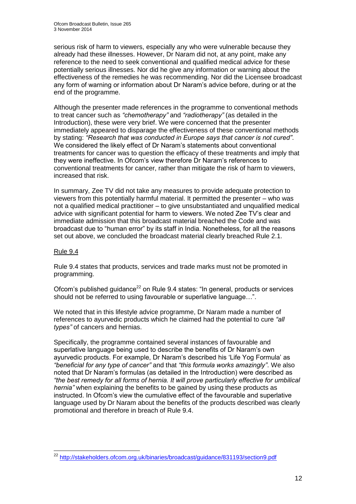serious risk of harm to viewers, especially any who were vulnerable because they already had these illnesses. However, Dr Naram did not, at any point, make any reference to the need to seek conventional and qualified medical advice for these potentially serious illnesses. Nor did he give any information or warning about the effectiveness of the remedies he was recommending. Nor did the Licensee broadcast any form of warning or information about Dr Naram's advice before, during or at the end of the programme.

Although the presenter made references in the programme to conventional methods to treat cancer such as *"chemotherapy"* and *"radiotherapy"* (as detailed in the Introduction), these were very brief. We were concerned that the presenter immediately appeared to disparage the effectiveness of these conventional methods by stating: *"Research that was conducted in Europe says that cancer is not cured"*. We considered the likely effect of Dr Naram's statements about conventional treatments for cancer was to question the efficacy of these treatments and imply that they were ineffective. In Ofcom's view therefore Dr Naram's references to conventional treatments for cancer, rather than mitigate the risk of harm to viewers, increased that risk.

In summary, Zee TV did not take any measures to provide adequate protection to viewers from this potentially harmful material. It permitted the presenter – who was not a qualified medical practitioner – to give unsubstantiated and unqualified medical advice with significant potential for harm to viewers. We noted Zee TV's clear and immediate admission that this broadcast material breached the Code and was broadcast due to "human error" by its staff in India. Nonetheless, for all the reasons set out above, we concluded the broadcast material clearly breached Rule 2.1.

### Rule 9.4

Rule 9.4 states that products, services and trade marks must not be promoted in programming.

Ofcom's published guidance<sup>22</sup> on Rule 9.4 states: "In general, products or services should not be referred to using favourable or superlative language…".

We noted that in this lifestyle advice programme, Dr Naram made a number of references to ayurvedic products which he claimed had the potential to cure *"all types"* of cancers and hernias.

Specifically, the programme contained several instances of favourable and superlative language being used to describe the benefits of Dr Naram's own ayurvedic products. For example, Dr Naram's described his 'Life Yog Formula' as *"beneficial for any type of cancer"* and that *"this formula works amazingly"*. We also noted that Dr Naram's formulas (as detailed in the Introduction) were described as *"the best remedy for all forms of hernia. It will prove particularly effective for umbilical hernia"* when explaining the benefits to be gained by using these products as instructed. In Ofcom's view the cumulative effect of the favourable and superlative language used by Dr Naram about the benefits of the products described was clearly promotional and therefore in breach of Rule 9.4.

<sup>1</sup> <sup>22</sup> <http://stakeholders.ofcom.org.uk/binaries/broadcast/guidance/831193/section9.pdf>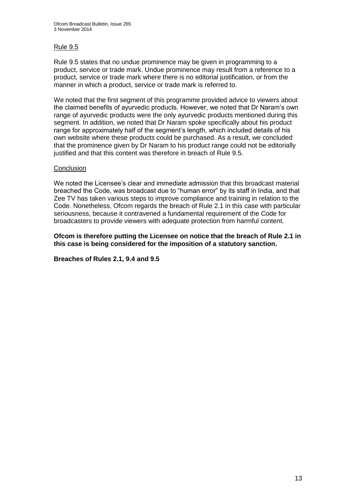### Rule 9.5

Rule 9.5 states that no undue prominence may be given in programming to a product, service or trade mark. Undue prominence may result from a reference to a product, service or trade mark where there is no editorial justification, or from the manner in which a product, service or trade mark is referred to.

We noted that the first segment of this programme provided advice to viewers about the claimed benefits of ayurvedic products. However, we noted that Dr Naram's own range of ayurvedic products were the only ayurvedic products mentioned during this segment. In addition, we noted that Dr Naram spoke specifically about his product range for approximately half of the segment's length, which included details of his own website where these products could be purchased. As a result, we concluded that the prominence given by Dr Naram to his product range could not be editorially justified and that this content was therefore in breach of Rule 9.5.

### **Conclusion**

We noted the Licensee's clear and immediate admission that this broadcast material breached the Code, was broadcast due to "human error" by its staff in India, and that Zee TV has taken various steps to improve compliance and training in relation to the Code. Nonetheless, Ofcom regards the breach of Rule 2.1 in this case with particular seriousness, because it contravened a fundamental requirement of the Code for broadcasters to provide viewers with adequate protection from harmful content.

**Ofcom is therefore putting the Licensee on notice that the breach of Rule 2.1 in this case is being considered for the imposition of a statutory sanction.** 

**Breaches of Rules 2.1, 9.4 and 9.5**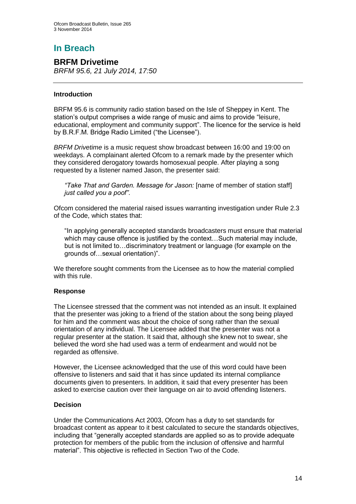# **In Breach**

# **BRFM Drivetime**

*BRFM 95.6, 21 July 2014, 17:50*

### **Introduction**

BRFM 95.6 is community radio station based on the Isle of Sheppey in Kent. The station's output comprises a wide range of music and aims to provide "leisure, educational, employment and community support". The licence for the service is held by B.R.F.M. Bridge Radio Limited ("the Licensee").

*BRFM Drivetime* is a music request show broadcast between 16:00 and 19:00 on weekdays. A complainant alerted Ofcom to a remark made by the presenter which they considered derogatory towards homosexual people. After playing a song requested by a listener named Jason, the presenter said:

*"Take That and Garden. Message for Jason:* [name of member of station staff] *just called you a poof"*.

Ofcom considered the material raised issues warranting investigation under Rule 2.3 of the Code, which states that:

"In applying generally accepted standards broadcasters must ensure that material which may cause offence is justified by the context…Such material may include, but is not limited to…discriminatory treatment or language (for example on the grounds of…sexual orientation)".

We therefore sought comments from the Licensee as to how the material complied with this rule.

### **Response**

The Licensee stressed that the comment was not intended as an insult. It explained that the presenter was joking to a friend of the station about the song being played for him and the comment was about the choice of song rather than the sexual orientation of any individual. The Licensee added that the presenter was not a regular presenter at the station. It said that, although she knew not to swear, she believed the word she had used was a term of endearment and would not be regarded as offensive.

However, the Licensee acknowledged that the use of this word could have been offensive to listeners and said that it has since updated its internal compliance documents given to presenters. In addition, it said that every presenter has been asked to exercise caution over their language on air to avoid offending listeners.

### **Decision**

Under the Communications Act 2003, Ofcom has a duty to set standards for broadcast content as appear to it best calculated to secure the standards objectives, including that "generally accepted standards are applied so as to provide adequate protection for members of the public from the inclusion of offensive and harmful material". This objective is reflected in Section Two of the Code.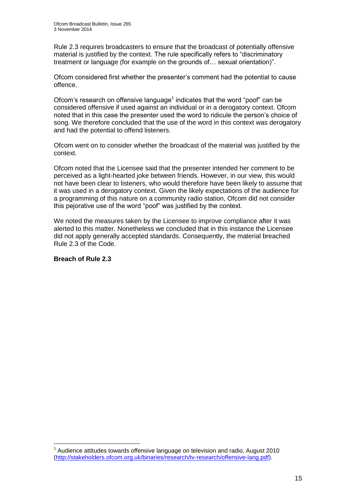Rule 2.3 requires broadcasters to ensure that the broadcast of potentially offensive material is justified by the context. The rule specifically refers to "discriminatory treatment or language (for example on the grounds of… sexual orientation)".

Ofcom considered first whether the presenter's comment had the potential to cause offence.

Ofcom's research on offensive language<sup>1</sup> indicates that the word "poof" can be considered offensive if used against an individual or in a derogatory context. Ofcom noted that in this case the presenter used the word to ridicule the person's choice of song. We therefore concluded that the use of the word in this context was derogatory and had the potential to offend listeners.

Ofcom went on to consider whether the broadcast of the material was justified by the context.

Ofcom noted that the Licensee said that the presenter intended her comment to be perceived as a light-hearted joke between friends. However, in our view, this would not have been clear to listeners, who would therefore have been likely to assume that it was used in a derogatory context. Given the likely expectations of the audience for a programming of this nature on a community radio station, Ofcom did not consider this pejorative use of the word "poof" was justified by the context.

We noted the measures taken by the Licensee to improve compliance after it was alerted to this matter. Nonetheless we concluded that in this instance the Licensee did not apply generally accepted standards. Consequently, the material breached Rule 2.3 of the Code.

### **Breach of Rule 2.3**

1

 $1$  Audience attitudes towards offensive language on television and radio, August 2010 [\(http://stakeholders.ofcom.org.uk/binaries/research/tv-research/offensive-lang.pdf\)](http://stakeholders.ofcom.org.uk/binaries/research/tv-research/offensive-lang.pdf).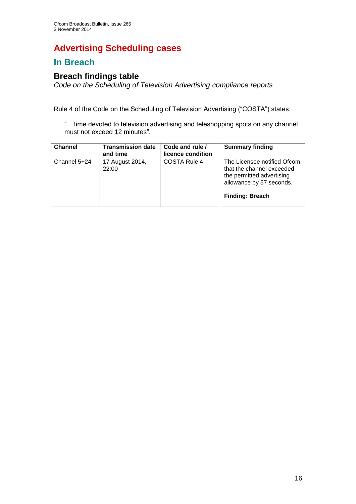# **Advertising Scheduling cases**

# **In Breach**

# **Breach findings table**

*Code on the Scheduling of Television Advertising compliance reports*

Rule 4 of the Code on the Scheduling of Television Advertising ("COSTA") states:

"... time devoted to television advertising and teleshopping spots on any channel must not exceed 12 minutes".

| <b>Channel</b> | <b>Transmission date</b><br>and time | Code and rule /<br>licence condition | <b>Summary finding</b>                                                                                                                      |
|----------------|--------------------------------------|--------------------------------------|---------------------------------------------------------------------------------------------------------------------------------------------|
| Channel 5+24   | 17 August 2014,<br>22:00             | <b>COSTA Rule 4</b>                  | The Licensee notified Ofcom<br>that the channel exceeded<br>the permitted advertising<br>allowance by 57 seconds.<br><b>Finding: Breach</b> |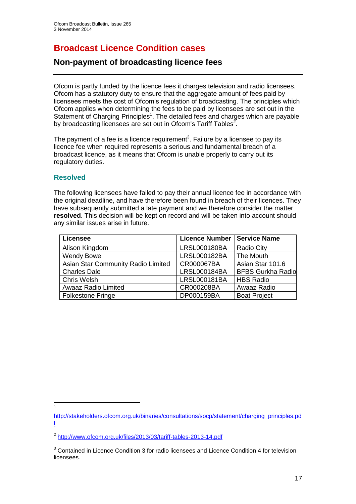# **Broadcast Licence Condition cases**

## **Non-payment of broadcasting licence fees**

Ofcom is partly funded by the licence fees it charges television and radio licensees. Ofcom has a statutory duty to ensure that the aggregate amount of fees paid by licensees meets the cost of Ofcom's regulation of broadcasting. The principles which Ofcom applies when determining the fees to be paid by licensees are set out in the Statement of Charging Principles<sup>1</sup>. The detailed fees and charges which are payable by broadcasting licensees are set out in Ofcom's Tariff Tables<sup>2</sup>.

The payment of a fee is a licence requirement<sup>3</sup>. Failure by a licensee to pay its licence fee when required represents a serious and fundamental breach of a broadcast licence, as it means that Ofcom is unable properly to carry out its regulatory duties.

### **Resolved**

The following licensees have failed to pay their annual licence fee in accordance with the original deadline, and have therefore been found in breach of their licences. They have subsequently submitted a late payment and we therefore consider the matter **resolved**. This decision will be kept on record and will be taken into account should any similar issues arise in future.

| <b>Licensee</b>                    | <b>Licence Number</b> | Service Name             |
|------------------------------------|-----------------------|--------------------------|
| Alison Kingdom                     | <b>LRSL000180BA</b>   | <b>Radio City</b>        |
| <b>Wendy Bowe</b>                  | LRSL000182BA          | The Mouth                |
| Asian Star Community Radio Limited | CR000067BA            | Asian Star 101.6         |
| <b>Charles Dale</b>                | LRSL000184BA          | <b>BFBS Gurkha Radio</b> |
| Chris Welsh                        | LRSL000181BA          | <b>HBS Radio</b>         |
| <b>Awaaz Radio Limited</b>         | CR000208BA            | Awaaz Radio              |
| <b>Folkestone Fringe</b>           | DP000159BA            | <b>Boat Project</b>      |

 $\frac{1}{1}$ 

[http://stakeholders.ofcom.org.uk/binaries/consultations/socp/statement/charging\\_principles.pd](http://stakeholders.ofcom.org.uk/binaries/consultations/socp/statement/charging_principles.pdf) [f](http://stakeholders.ofcom.org.uk/binaries/consultations/socp/statement/charging_principles.pdf)

<sup>&</sup>lt;sup>2</sup> <http://www.ofcom.org.uk/files/2013/03/tariff-tables-2013-14.pdf>

<sup>&</sup>lt;sup>3</sup> Contained in Licence Condition 3 for radio licensees and Licence Condition 4 for television licensees.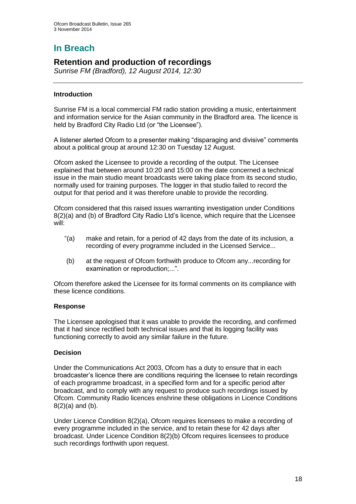# **In Breach**

# **Retention and production of recordings**

*Sunrise FM (Bradford), 12 August 2014, 12:30*

### **Introduction**

Sunrise FM is a local commercial FM radio station providing a music, entertainment and information service for the Asian community in the Bradford area. The licence is held by Bradford City Radio Ltd (or "the Licensee").

A listener alerted Ofcom to a presenter making "disparaging and divisive" comments about a political group at around 12:30 on Tuesday 12 August.

Ofcom asked the Licensee to provide a recording of the output. The Licensee explained that between around 10:20 and 15:00 on the date concerned a technical issue in the main studio meant broadcasts were taking place from its second studio, normally used for training purposes. The logger in that studio failed to record the output for that period and it was therefore unable to provide the recording.

Ofcom considered that this raised issues warranting investigation under Conditions 8(2)(a) and (b) of Bradford City Radio Ltd's licence, which require that the Licensee will:

- "(a) make and retain, for a period of 42 days from the date of its inclusion, a recording of every programme included in the Licensed Service...
- (b) at the request of Ofcom forthwith produce to Ofcom any...recording for examination or reproduction;...".

Ofcom therefore asked the Licensee for its formal comments on its compliance with these licence conditions.

### **Response**

The Licensee apologised that it was unable to provide the recording, and confirmed that it had since rectified both technical issues and that its logging facility was functioning correctly to avoid any similar failure in the future.

### **Decision**

Under the Communications Act 2003, Ofcom has a duty to ensure that in each broadcaster's licence there are conditions requiring the licensee to retain recordings of each programme broadcast, in a specified form and for a specific period after broadcast, and to comply with any request to produce such recordings issued by Ofcom. Community Radio licences enshrine these obligations in Licence Conditions 8(2)(a) and (b).

Under Licence Condition 8(2)(a), Ofcom requires licensees to make a recording of every programme included in the service, and to retain these for 42 days after broadcast. Under Licence Condition 8(2)(b) Ofcom requires licensees to produce such recordings forthwith upon request.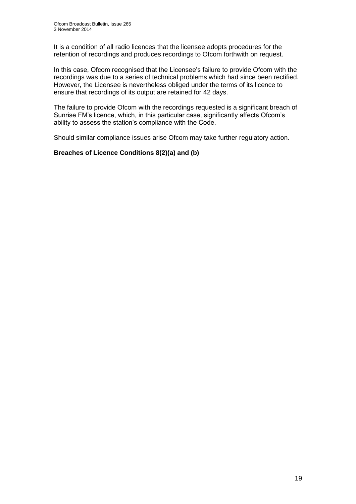It is a condition of all radio licences that the licensee adopts procedures for the retention of recordings and produces recordings to Ofcom forthwith on request.

In this case, Ofcom recognised that the Licensee's failure to provide Ofcom with the recordings was due to a series of technical problems which had since been rectified. However, the Licensee is nevertheless obliged under the terms of its licence to ensure that recordings of its output are retained for 42 days.

The failure to provide Ofcom with the recordings requested is a significant breach of Sunrise FM's licence, which, in this particular case, significantly affects Ofcom's ability to assess the station's compliance with the Code.

Should similar compliance issues arise Ofcom may take further regulatory action.

### **Breaches of Licence Conditions 8(2)(a) and (b)**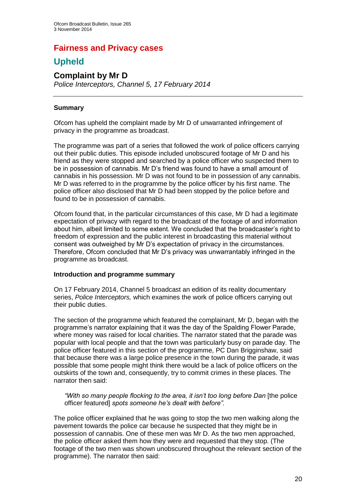# **Fairness and Privacy cases**

# **Upheld**

### **Complaint by Mr D** *Police Interceptors, Channel 5, 17 February 2014*

### **Summary**

Ofcom has upheld the complaint made by Mr D of unwarranted infringement of privacy in the programme as broadcast.

The programme was part of a series that followed the work of police officers carrying out their public duties. This episode included unobscured footage of Mr D and his friend as they were stopped and searched by a police officer who suspected them to be in possession of cannabis. Mr D's friend was found to have a small amount of cannabis in his possession. Mr D was not found to be in possession of any cannabis. Mr D was referred to in the programme by the police officer by his first name. The police officer also disclosed that Mr D had been stopped by the police before and found to be in possession of cannabis.

Ofcom found that, in the particular circumstances of this case, Mr D had a legitimate expectation of privacy with regard to the broadcast of the footage of and information about him, albeit limited to some extent. We concluded that the broadcaster's right to freedom of expression and the public interest in broadcasting this material without consent was outweighed by Mr D's expectation of privacy in the circumstances. Therefore, Ofcom concluded that Mr D's privacy was unwarrantably infringed in the programme as broadcast.

### **Introduction and programme summary**

On 17 February 2014, Channel 5 broadcast an edition of its reality documentary series, *Police Interceptors,* which examines the work of police officers carrying out their public duties.

The section of the programme which featured the complainant, Mr D, began with the programme's narrator explaining that it was the day of the Spalding Flower Parade, where money was raised for local charities. The narrator stated that the parade was popular with local people and that the town was particularly busy on parade day. The police officer featured in this section of the programme, PC Dan Brigginshaw, said that because there was a large police presence in the town during the parade, it was possible that some people might think there would be a lack of police officers on the outskirts of the town and, consequently, try to commit crimes in these places. The narrator then said:

"With so many people flocking to the area, it isn't too long before Dan [the police officer featured] *spots someone he's dealt with before".*

The police officer explained that he was going to stop the two men walking along the pavement towards the police car because he suspected that they might be in possession of cannabis. One of these men was Mr D. As the two men approached, the police officer asked them how they were and requested that they stop. (The footage of the two men was shown unobscured throughout the relevant section of the programme). The narrator then said: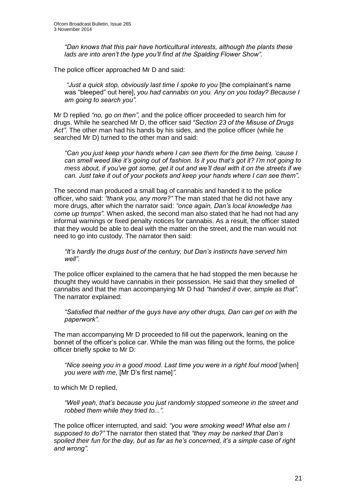*"Dan knows that this pair have horticultural interests, although the plants these lads are into aren't the type you'll find at the Spalding Flower Show".*

The police officer approached Mr D and said:

*"Just a quick stop, obviously last time I spoke to you* [the complainant's name was "bleeped" out here], *you had cannabis on you. Any on you today? Because I am going to search you".*

Mr D replied *"no, go on then"*, and the police officer proceeded to search him for drugs. While he searched Mr D, the officer said *"Section 23 of the Misuse of Drugs Act"*. The other man had his hands by his sides, and the police officer (while he searched Mr D) turned to the other man and said:

*"Can you just keep your hands where I can see them for the time being, 'cause I can smell weed like it's going out of fashion. Is it you that's got it? I'm not going to mess about, if you've got some, get it out and we'll deal with it on the streets if we can. Just take it out of your pockets and keep your hands where I can see them".* 

The second man produced a small bag of cannabis and handed it to the police officer, who said: *"thank you, any more?"* The man stated that he did not have any more drugs, after which the narrator said: *"once again, Dan's local knowledge has come up trumps".* When asked, the second man also stated that he had not had any informal warnings or fixed penalty notices for cannabis. As a result, the officer stated that they would be able to deal with the matter on the street, and the man would not need to go into custody. The narrator then said:

*"It's hardly the drugs bust of the century, but Dan's instincts have served him well".*

The police officer explained to the camera that he had stopped the men because he thought they would have cannabis in their possession. He said that they smelled of cannabis and that the man accompanying Mr D had *"handed it over, simple as that".*  The narrator explained:

*"Satisfied that neither of the guys have any other drugs, Dan can get on with the paperwork".*

The man accompanying Mr D proceeded to fill out the paperwork, leaning on the bonnet of the officer's police car. While the man was filling out the forms, the police officer briefly spoke to Mr D:

*"Nice seeing you in a good mood. Last time you were in a right foul mood* [when] *you were with me,* [Mr D's first name]*".*

to which Mr D replied,

*"Well yeah, that's because you just randomly stopped someone in the street and robbed them while they tried to...".* 

The police officer interrupted, and said: *"you were smoking weed! What else am I supposed to do?"* The narrator then stated that *"they may be narked that Dan's spoiled their fun for the day, but as far as he's concerned, it's a simple case of right and wrong".*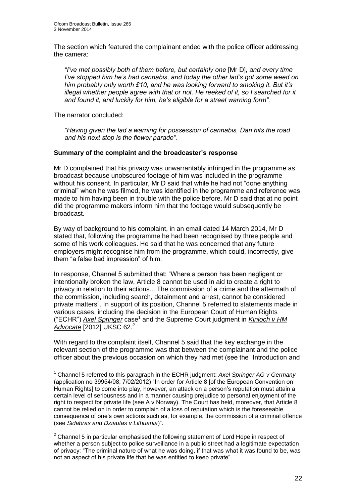The section which featured the complainant ended with the police officer addressing the camera:

*"I've met possibly both of them before, but certainly one* [Mr D]*, and every time I've stopped him he's had cannabis, and today the other lad's got some weed on him probably only worth £10, and he was looking forward to smoking it. But it's illegal whether people agree with that or not. He reeked of it, so I searched for it and found it, and luckily for him, he's eligible for a street warning form".*

The narrator concluded:

 $\overline{a}$ 

*"Having given the lad a warning for possession of cannabis, Dan hits the road and his next stop is the flower parade".*

### **Summary of the complaint and the broadcaster's response**

Mr D complained that his privacy was unwarrantably infringed in the programme as broadcast because unobscured footage of him was included in the programme without his consent. In particular, Mr D said that while he had not "done anything criminal" when he was filmed, he was identified in the programme and reference was made to him having been in trouble with the police before. Mr D said that at no point did the programme makers inform him that the footage would subsequently be broadcast.

By way of background to his complaint, in an email dated 14 March 2014, Mr D stated that, following the programme he had been recognised by three people and some of his work colleagues. He said that he was concerned that any future employers might recognise him from the programme, which could, incorrectly, give them "a false bad impression" of him.

In response, Channel 5 submitted that: "Where a person has been negligent or intentionally broken the law, Article 8 cannot be used in aid to create a right to privacy in relation to their actions... The commission of a crime and the aftermath of the commission, including search, detainment and arrest, cannot be considered private matters". In support of its position, Channel 5 referred to statements made in various cases, including the decision in the European Court of Human Rights ("ECHR") Axel Springer case<sup>1</sup> and the Supreme Court judgment in Kinloch v HM *Advocate* [2012] UKSC 62.*<sup>2</sup>*

With regard to the complaint itself, Channel 5 said that the key exchange in the relevant section of the programme was that between the complainant and the police officer about the previous occasion on which they had met (see the "Introduction and

<sup>1</sup> Channel 5 referred to this paragraph in the ECHR judgment: *Axel Springer AG v Germany* (application no 39954/08; 7/02/2012) "In order for Article 8 [of the European Convention on Human Rights] to come into play, however, an attack on a person's reputation must attain a certain level of seriousness and in a manner causing prejudice to personal enjoyment of the right to respect for private life (see A v Norway). The Court has held, moreover, that Article 8 cannot be relied on in order to complain of a loss of reputation which is the foreseeable consequence of one's own actions such as, for example, the commission of a criminal offence (see *Sidabras and Dziautas v Lithuania*)".

 $2$  Channel 5 in particular emphasised the following statement of Lord Hope in respect of whether a person subject to police surveillance in a public street had a legitimate expectation of privacy: "The criminal nature of what he was doing, if that was what it was found to be, was not an aspect of his private life that he was entitled to keep private".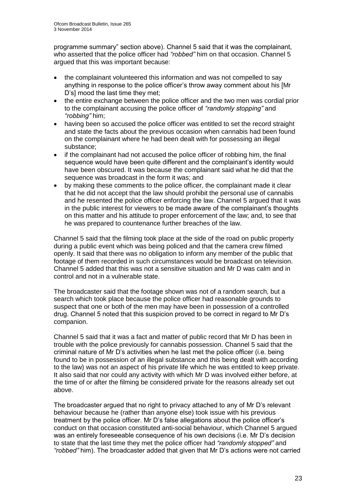programme summary" section above). Channel 5 said that it was the complainant, who asserted that the police officer had *"robbed"* him on that occasion. Channel 5 argued that this was important because:

- the complainant volunteered this information and was not compelled to say anything in response to the police officer's throw away comment about his [Mr D's] mood the last time they met;
- the entire exchange between the police officer and the two men was cordial prior to the complainant accusing the police officer of *"randomly stopping"* and *"robbing"* him;
- having been so accused the police officer was entitled to set the record straight and state the facts about the previous occasion when cannabis had been found on the complainant where he had been dealt with for possessing an illegal substance;
- if the complainant had not accused the police officer of robbing him, the final sequence would have been quite different and the complainant's identity would have been obscured. It was because the complainant said what he did that the sequence was broadcast in the form it was; and
- by making these comments to the police officer, the complainant made it clear that he did not accept that the law should prohibit the personal use of cannabis and he resented the police officer enforcing the law. Channel 5 argued that it was in the public interest for viewers to be made aware of the complainant's thoughts on this matter and his attitude to proper enforcement of the law; and, to see that he was prepared to countenance further breaches of the law.

Channel 5 said that the filming took place at the side of the road on public property during a public event which was being policed and that the camera crew filmed openly. It said that there was no obligation to inform any member of the public that footage of them recorded in such circumstances would be broadcast on television. Channel 5 added that this was not a sensitive situation and Mr D was calm and in control and not in a vulnerable state.

The broadcaster said that the footage shown was not of a random search, but a search which took place because the police officer had reasonable grounds to suspect that one or both of the men may have been in possession of a controlled drug. Channel 5 noted that this suspicion proved to be correct in regard to Mr D's companion.

Channel 5 said that it was a fact and matter of public record that Mr D has been in trouble with the police previously for cannabis possession. Channel 5 said that the criminal nature of Mr D's activities when he last met the police officer (i.e. being found to be in possession of an illegal substance and this being dealt with according to the law) was not an aspect of his private life which he was entitled to keep private. It also said that nor could any activity with which Mr D was involved either before, at the time of or after the filming be considered private for the reasons already set out above.

The broadcaster argued that no right to privacy attached to any of Mr D's relevant behaviour because he (rather than anyone else) took issue with his previous treatment by the police officer. Mr D's false allegations about the police officer's conduct on that occasion constituted anti-social behaviour, which Channel 5 argued was an entirely foreseeable consequence of his own decisions (i.e. Mr D's decision to state that the last time they met the police officer had *"randomly stopped"* and *"robbed"* him). The broadcaster added that given that Mr D's actions were not carried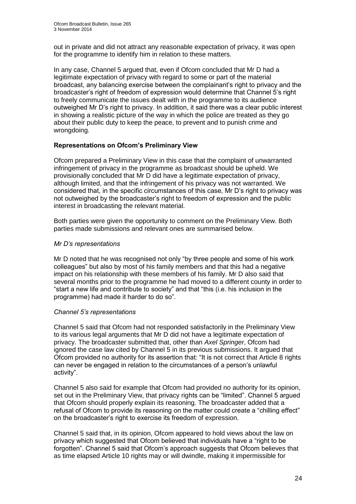out in private and did not attract any reasonable expectation of privacy, it was open for the programme to identify him in relation to these matters.

In any case, Channel 5 argued that, even if Ofcom concluded that Mr D had a legitimate expectation of privacy with regard to some or part of the material broadcast, any balancing exercise between the complainant's right to privacy and the broadcaster's right of freedom of expression would determine that Channel 5's right to freely communicate the issues dealt with in the programme to its audience outweighed Mr D's right to privacy. In addition, it said there was a clear public interest in showing a realistic picture of the way in which the police are treated as they go about their public duty to keep the peace, to prevent and to punish crime and wrongdoing.

### **Representations on Ofcom's Preliminary View**

Ofcom prepared a Preliminary View in this case that the complaint of unwarranted infringement of privacy in the programme as broadcast should be upheld. We provisionally concluded that Mr D did have a legitimate expectation of privacy, although limited, and that the infringement of his privacy was not warranted. We considered that, in the specific circumstances of this case, Mr D's right to privacy was not outweighed by the broadcaster's right to freedom of expression and the public interest in broadcasting the relevant material.

Both parties were given the opportunity to comment on the Preliminary View. Both parties made submissions and relevant ones are summarised below.

### *Mr D's representations*

Mr D noted that he was recognised not only "by three people and some of his work colleagues" but also by most of his family members and that this had a negative impact on his relationship with these members of his family. Mr D also said that several months prior to the programme he had moved to a different county in order to "start a new life and contribute to society" and that "this (i.e. his inclusion in the programme) had made it harder to do so".

### *Channel 5's representations*

Channel 5 said that Ofcom had not responded satisfactorily in the Preliminary View to its various legal arguments that Mr D did not have a legitimate expectation of privacy. The broadcaster submitted that, other than *Axel Springer*, Ofcom had ignored the case law cited by Channel 5 in its previous submissions. It argued that Ofcom provided no authority for its assertion that: "It is not correct that Article 8 rights can never be engaged in relation to the circumstances of a person's unlawful activity".

Channel 5 also said for example that Ofcom had provided no authority for its opinion, set out in the Preliminary View, that privacy rights can be "limited". Channel 5 argued that Ofcom should properly explain its reasoning. The broadcaster added that a refusal of Ofcom to provide its reasoning on the matter could create a "chilling effect" on the broadcaster's right to exercise its freedom of expression.

Channel 5 said that, in its opinion, Ofcom appeared to hold views about the law on privacy which suggested that Ofcom believed that individuals have a "right to be forgotten". Channel 5 said that Ofcom's approach suggests that Ofcom believes that as time elapsed Article 10 rights may or will dwindle, making it impermissible for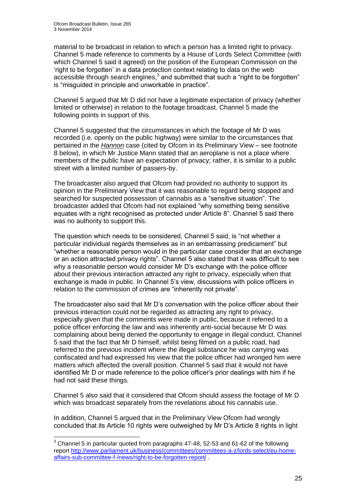1

material to be broadcast in relation to which a person has a limited right to privacy. Channel 5 made reference to comments by a House of Lords Select Committee (with which Channel 5 said it agreed) on the position of the European Commission on the 'right to be forgotten' in a data protection context relating to data on the web accessible through search engines, $3$  and submitted that such a "right to be forgotten" is "misguided in principle and unworkable in practice".

Channel 5 argued that Mr D did not have a legitimate expectation of privacy (whether limited or otherwise) in relation to the footage broadcast. Channel 5 made the following points in support of this.

Channel 5 suggested that the circumstances in which the footage of Mr D was recorded (i.e. openly on the public highway) were similar to the circumstances that pertained in the *Hannon* case (cited by Ofcom in its Preliminary View – see footnote [8](#page-27-0) below), in which Mr Justice Mann stated that an aeroplane is not a place where members of the public have an expectation of privacy; rather, it is similar to a public street with a limited number of passers-by.

The broadcaster also argued that Ofcom had provided no authority to support its opinion in the Preliminary View that it was reasonable to regard being stopped and searched for suspected possession of cannabis as a "sensitive situation"*.* The broadcaster added that Ofcom had not explained "why something being sensitive equates with a right recognised as protected under Article 8". Channel 5 said there was no authority to support this.

The question which needs to be considered, Channel 5 said, is "not whether a particular individual regards themselves as in an embarrassing predicament" but "whether a reasonable person would in the particular case consider that an exchange or an action attracted privacy rights". Channel 5 also stated that it was difficult to see why a reasonable person would consider Mr D's exchange with the police officer about their previous interaction attracted any right to privacy, especially when that exchange is made in public. In Channel 5's view, discussions with police officers in relation to the commission of crimes are "inherently not private".

The broadcaster also said that Mr D's conversation with the police officer about their previous interaction could not be regarded as attracting any right to privacy, especially given that the comments were made in public, because it referred to a police officer enforcing the law and was inherently anti-social because Mr D was complaining about being denied the opportunity to engage in illegal conduct. Channel 5 said that the fact that Mr D himself, whilst being filmed on a public road, had referred to the previous incident where the illegal substance he was carrying was confiscated and had expressed his view that the police officer had wronged him were matters which affected the overall position. Channel 5 said that it would not have identified Mr D or made reference to the police officer's prior dealings with him if he had not said these things.

Channel 5 also said that it considered that Ofcom should assess the footage of Mr D which was broadcast separately from the revelations about his cannabis use.

In addition, Channel 5 argued that in the Preliminary View Ofcom had wrongly concluded that its Article 10 rights were outweighed by Mr D's Article 8 rights in light

 $3$  Channel 5 in particular quoted from paragraphs 47-48, 52-53 and 61-62 of the following report [http://www.parliament.uk/business/committees/committees-a-z/lords-select/eu-home](http://www.parliament.uk/business/committees/committees-a-z/lords-select/eu-home-affairs-sub-committee-f-/news/right-to-be-forgotten-report/)[affairs-sub-committee-f-/news/right-to-be-forgotten-report/](http://www.parliament.uk/business/committees/committees-a-z/lords-select/eu-home-affairs-sub-committee-f-/news/right-to-be-forgotten-report/) .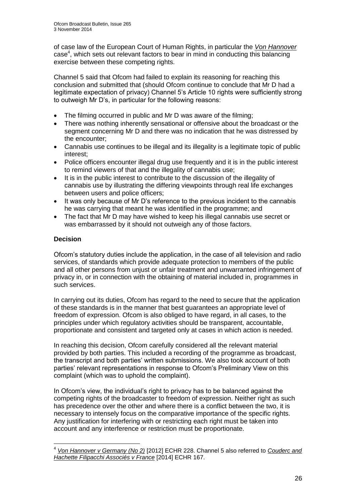of case law of the European Court of Human Rights, in particular the *Von Hannover* case<sup>4</sup>, which sets out relevant factors to bear in mind in conducting this balancing exercise between these competing rights.

Channel 5 said that Ofcom had failed to explain its reasoning for reaching this conclusion and submitted that (should Ofcom continue to conclude that Mr D had a legitimate expectation of privacy) Channel 5's Article 10 rights were sufficiently strong to outweigh Mr D's, in particular for the following reasons:

- The filming occurred in public and Mr D was aware of the filming;
- There was nothing inherently sensational or offensive about the broadcast or the segment concerning Mr D and there was no indication that he was distressed by the encounter;
- Cannabis use continues to be illegal and its illegality is a legitimate topic of public interest;
- Police officers encounter illegal drug use frequently and it is in the public interest to remind viewers of that and the illegality of cannabis use;
- It is in the public interest to contribute to the discussion of the illegality of cannabis use by illustrating the differing viewpoints through real life exchanges between users and police officers;
- It was only because of Mr D's reference to the previous incident to the cannabis he was carrying that meant he was identified in the programme; and
- The fact that Mr D may have wished to keep his illegal cannabis use secret or was embarrassed by it should not outweigh any of those factors.

### **Decision**

1

Ofcom's statutory duties include the application, in the case of all television and radio services, of standards which provide adequate protection to members of the public and all other persons from unjust or unfair treatment and unwarranted infringement of privacy in, or in connection with the obtaining of material included in, programmes in such services.

In carrying out its duties, Ofcom has regard to the need to secure that the application of these standards is in the manner that best guarantees an appropriate level of freedom of expression. Ofcom is also obliged to have regard, in all cases, to the principles under which regulatory activities should be transparent, accountable, proportionate and consistent and targeted only at cases in which action is needed.

In reaching this decision, Ofcom carefully considered all the relevant material provided by both parties. This included a recording of the programme as broadcast, the transcript and both parties' written submissions. We also took account of both parties' relevant representations in response to Ofcom's Preliminary View on this complaint (which was to uphold the complaint).

In Ofcom's view, the individual's right to privacy has to be balanced against the competing rights of the broadcaster to freedom of expression. Neither right as such has precedence over the other and where there is a conflict between the two, it is necessary to intensely focus on the comparative importance of the specific rights. Any justification for interfering with or restricting each right must be taken into account and any interference or restriction must be proportionate.

<sup>4</sup> *Von Hannover v Germany (No 2)* [2012] ECHR 228. Channel 5 also referred to *Couderc and Hachette Filipacchi Associés v France* [2014] ECHR 167.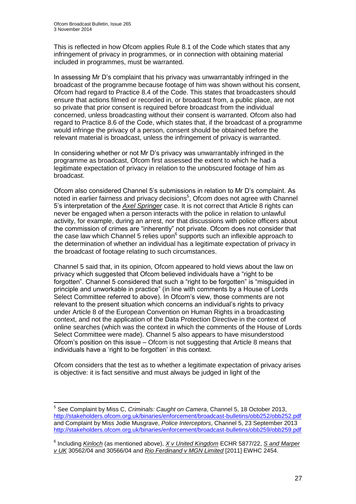1

This is reflected in how Ofcom applies Rule 8.1 of the Code which states that any infringement of privacy in programmes, or in connection with obtaining material included in programmes, must be warranted.

In assessing Mr D's complaint that his privacy was unwarrantably infringed in the broadcast of the programme because footage of him was shown without his consent, Ofcom had regard to Practice 8.4 of the Code. This states that broadcasters should ensure that actions filmed or recorded in, or broadcast from, a public place, are not so private that prior consent is required before broadcast from the individual concerned, unless broadcasting without their consent is warranted. Ofcom also had regard to Practice 8.6 of the Code, which states that, if the broadcast of a programme would infringe the privacy of a person, consent should be obtained before the relevant material is broadcast, unless the infringement of privacy is warranted.

In considering whether or not Mr D's privacy was unwarrantably infringed in the programme as broadcast, Ofcom first assessed the extent to which he had a legitimate expectation of privacy in relation to the unobscured footage of him as broadcast.

Ofcom also considered Channel 5's submissions in relation to Mr D's complaint. As noted in earlier fairness and privacy decisions<sup>5</sup>, Ofcom does not agree with Channel 5's interpretation of the *Axel Springer* case. It is not correct that Article 8 rights can never be engaged when a person interacts with the police in relation to unlawful activity, for example, during an arrest, nor that discussions with police officers about the commission of crimes are "inherently" not private. Ofcom does not consider that the case law which Channel 5 relies upon $^6$  supports such an inflexible approach to the determination of whether an individual has a legitimate expectation of privacy in the broadcast of footage relating to such circumstances.

Channel 5 said that, in its opinion, Ofcom appeared to hold views about the law on privacy which suggested that Ofcom believed individuals have a "right to be forgotten". Channel 5 considered that such a "right to be forgotten" is "misguided in principle and unworkable in practice" (in line with comments by a House of Lords Select Committee referred to above). In Ofcom's view, those comments are not relevant to the present situation which concerns an individual's rights to privacy under Article 8 of the European Convention on Human Rights in a broadcasting context, and not the application of the Data Protection Directive in the context of online searches (which was the context in which the comments of the House of Lords Select Committee were made). Channel 5 also appears to have misunderstood Ofcom's position on this issue – Ofcom is not suggesting that Article 8 means that individuals have a 'right to be forgotten' in this context.

Ofcom considers that the test as to whether a legitimate expectation of privacy arises is objective: it is fact sensitive and must always be judged in light of the

<sup>5</sup> See Complaint by Miss C, *Criminals: Caught on Camera*, Channel 5, 18 October 2013, <http://stakeholders.ofcom.org.uk/binaries/enforcement/broadcast-bulletins/obb252/obb252.pdf> and Complaint by Miss Jodie Musgrave, *Police Interceptors*, Channel 5, 23 September 2013 <http://stakeholders.ofcom.org.uk/binaries/enforcement/broadcast-bulletins/obb259/obb259.pdf>

<sup>6</sup> Including *Kinloch* (as mentioned above), *X v United Kingdom* ECHR 5877/22, *S and Marper v UK* 30562/04 and 30566/04 and *Rio Ferdinand v MGN Limited* [2011] EWHC 2454.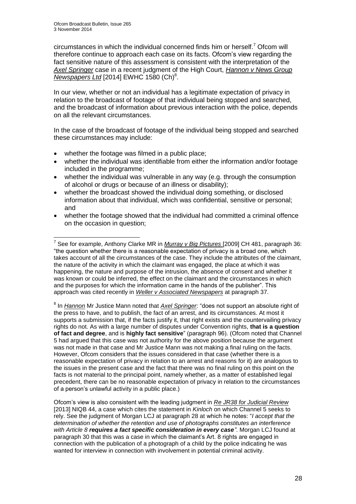circumstances in which the individual concerned finds him or herself.<sup>7</sup> Ofcom will therefore continue to approach each case on its facts. Ofcom's view regarding the fact sensitive nature of this assessment is consistent with the interpretation of the *Axel Springer* case in a recent judgment of the High Court, *Hannon v News Group*  Newspapers Ltd [2014] EWHC 1580 (Ch)<sup>8</sup>.

<span id="page-27-0"></span>In our view, whether or not an individual has a legitimate expectation of privacy in relation to the broadcast of footage of that individual being stopped and searched, and the broadcast of information about previous interaction with the police, depends on all the relevant circumstances.

In the case of the broadcast of footage of the individual being stopped and searched these circumstances may include:

- whether the footage was filmed in a public place;
- whether the individual was identifiable from either the information and/or footage included in the programme;
- whether the individual was vulnerable in any way (e.g. through the consumption of alcohol or drugs or because of an illness or disability);
- whether the broadcast showed the individual doing something, or disclosed information about that individual, which was confidential, sensitive or personal; and
- whether the footage showed that the individual had committed a criminal offence on the occasion in question;

8 In *Hannon* Mr Justice Mann noted that *Axel Springer*: "does not support an absolute right of the press to have, and to publish, the fact of an arrest, and its circumstances. At most it supports a submission that, if the facts justify it, that right exists and the countervailing privacy rights do not. As with a large number of disputes under Convention rights, **that is a question of fact and degree**, and is **highly fact sensitive**" (paragraph 96). (Ofcom noted that Channel 5 had argued that this case was not authority for the above position because the argument was not made in that case and Mr Justice Mann was not making a final ruling on the facts. However, Ofcom considers that the issues considered in that case (whether there is a reasonable expectation of privacy in relation to an arrest and reasons for it) are analogous to the issues in the present case and the fact that there was no final ruling on this point on the facts is not material to the principal point, namely whether, as a matter of established legal precedent, there can be no reasonable expectation of privacy in relation to the circumstances of a person's unlawful activity in a public place.)

Ofcom's view is also consistent with the leading judgment in *Re JR38 for Judicial Review* [2013] NIQB 44, a case which cites the statement in *Kinloch* on which Channel 5 seeks to rely. See the judgment of Morgan LCJ at paragraph 28 at which he notes: "*I accept that the determination of whether the retention and use of photographs constitutes an interference with Article 8 requires a fact specific consideration in every case"*. Morgan LCJ found at paragraph 30 that this was a case in which the claimant's Art. 8 rights are engaged in connection with the publication of a photograph of a child by the police indicating he was wanted for interview in connection with involvement in potential criminal activity.

<sup>&</sup>lt;u>.</u> 7 See for example, Anthony Clarke MR in *Murray v Big Pictures* [2009] CH 481, paragraph 36: "the question whether there is a reasonable expectation of privacy is a broad one, which takes account of all the circumstances of the case. They include the attributes of the claimant, the nature of the activity in which the claimant was engaged, the place at which it was happening, the nature and purpose of the intrusion, the absence of consent and whether it was known or could be inferred, the effect on the claimant and the circumstances in which and the purposes for which the information came in the hands of the publisher". This approach was cited recently in *Weller v Associated Newspapers* at paragraph 37.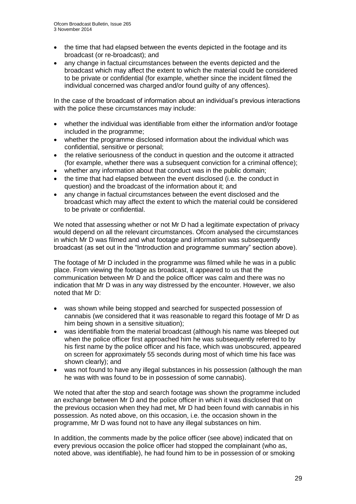- the time that had elapsed between the events depicted in the footage and its broadcast (or re-broadcast); and
- any change in factual circumstances between the events depicted and the broadcast which may affect the extent to which the material could be considered to be private or confidential (for example, whether since the incident filmed the individual concerned was charged and/or found guilty of any offences).

In the case of the broadcast of information about an individual's previous interactions with the police these circumstances may include:

- whether the individual was identifiable from either the information and/or footage included in the programme;
- whether the programme disclosed information about the individual which was confidential, sensitive or personal;
- the relative seriousness of the conduct in question and the outcome it attracted (for example, whether there was a subsequent conviction for a criminal offence);
- whether any information about that conduct was in the public domain;
- the time that had elapsed between the event disclosed (i.e. the conduct in question) and the broadcast of the information about it; and
- any change in factual circumstances between the event disclosed and the broadcast which may affect the extent to which the material could be considered to be private or confidential.

We noted that assessing whether or not Mr D had a legitimate expectation of privacy would depend on all the relevant circumstances. Ofcom analysed the circumstances in which Mr D was filmed and what footage and information was subsequently broadcast (as set out in the "Introduction and programme summary" section above).

The footage of Mr D included in the programme was filmed while he was in a public place. From viewing the footage as broadcast, it appeared to us that the communication between Mr D and the police officer was calm and there was no indication that Mr D was in any way distressed by the encounter. However, we also noted that Mr D:

- was shown while being stopped and searched for suspected possession of cannabis (we considered that it was reasonable to regard this footage of Mr D as him being shown in a sensitive situation);
- was identifiable from the material broadcast (although his name was bleeped out when the police officer first approached him he was subsequently referred to by his first name by the police officer and his face, which was unobscured, appeared on screen for approximately 55 seconds during most of which time his face was shown clearly); and
- was not found to have any illegal substances in his possession (although the man he was with was found to be in possession of some cannabis).

We noted that after the stop and search footage was shown the programme included an exchange between Mr D and the police officer in which it was disclosed that on the previous occasion when they had met, Mr D had been found with cannabis in his possession. As noted above, on this occasion, i.e. the occasion shown in the programme, Mr D was found not to have any illegal substances on him.

In addition, the comments made by the police officer (see above) indicated that on every previous occasion the police officer had stopped the complainant (who as, noted above, was identifiable), he had found him to be in possession of or smoking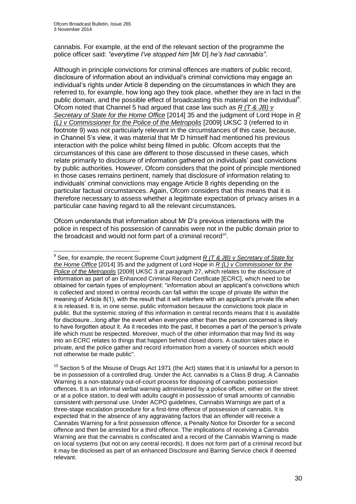cannabis. For example, at the end of the relevant section of the programme the police officer said: *"everytime I've stopped him* [Mr D] *he's had cannabis"*.

<span id="page-29-0"></span>Although in principle convictions for criminal offences are matters of public record, disclosure of information about an individual's criminal convictions may engage an individual's rights under Article 8 depending on the circumstances in which they are referred to, for example, how long ago they took place, whether they are in fact in the public domain, and the possible effect of broadcasting this material on the individual<sup>9</sup>. Ofcom noted that Channel 5 had argued that case law such as *R (T & JB) v Secretary of State for the Home Office* [2014] 35 and the judgment of Lord Hope in *R (L) v Commissioner for the Police of the Metropolis* [2009] UKSC 3 (referred to in footnote [9\)](#page-29-0) was not particularly relevant in the circumstances of this case, because, in Channel 5's view, it was material that Mr D himself had mentioned his previous interaction with the police whilst being filmed in public. Ofcom accepts that the circumstances of this case are different to those discussed in these cases, which relate primarily to disclosure of information gathered on individuals' past convictions by public authorities. However, Ofcom considers that the point of principle mentioned in those cases remains pertinent, namely that disclosure of information relating to individuals' criminal convictions may engage Article 8 rights depending on the particular factual circumstances. Again, Ofcom considers that this means that it is therefore necessary to assess whether a legitimate expectation of privacy arises in a particular case having regard to all the relevant circumstances.

Ofcom understands that information about Mr D's previous interactions with the police in respect of his possession of cannabis were not in the public domain prior to the broadcast and would not form part of a criminal record<sup>10</sup>.

 9 See, for example, the recent Supreme Court judgment *R (T & JB) v Secretary of State for the Home Office* [2014] 35 and the judgment of Lord Hope in *R (L) v Commissioner for the Police of the Metropolis* [2009] UKSC 3 at paragraph 27, which relates to the disclosure of information as part of an Enhanced Criminal Record Certificate [ECRC], which need to be obtained for certain types of employment: "information about an applicant's convictions which is collected and stored in central records can fall within the scope of private life within the meaning of Article 8(1), with the result that it will interfere with an applicant's private life when it is released. It is, in one sense, public information because the convictions took place in public. But the systemic storing of this information in central records means that it is available for disclosure…long after the event when everyone other than the person concerned is likely to have forgotten about it. As it recedes into the past, it becomes a part of the person's private life which must be respected. Moreover, much of the other information that may find its way into an ECRC relates to things that happen behind closed doors. A caution takes place in private, and the police gather and record information from a variety of sources which would not otherwise be made public".

 $10$  Section 5 of the Misuse of Drugs Act 1971 (the Act) states that it is unlawful for a person to be in possession of a controlled drug. Under the Act, cannabis is a Class B drug. A Cannabis Warning is a non-statutory out-of-court process for disposing of cannabis possession offences. It is an informal verbal warning administered by a police officer, either on the street or at a police station, to deal with adults caught in possession of small amounts of cannabis consistent with personal use. Under ACPO guidelines, Cannabis Warnings are part of a three-stage escalation procedure for a first-time offence of possession of cannabis. It is expected that in the absence of any aggravating factors that an offender will receive a Cannabis Warning for a first possession offence, a Penalty Notice for Disorder for a second offence and then be arrested for a third offence. The implications of receiving a Cannabis Warning are that the cannabis is confiscated and a record of the Cannabis Warning is made on local systems (but not on any central records). It does not form part of a criminal record but it may be disclosed as part of an enhanced Disclosure and Barring Service check if deemed relevant.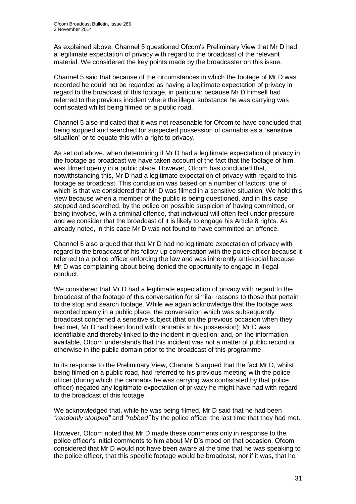As explained above, Channel 5 questioned Ofcom's Preliminary View that Mr D had a legitimate expectation of privacy with regard to the broadcast of the relevant material. We considered the key points made by the broadcaster on this issue.

Channel 5 said that because of the circumstances in which the footage of Mr D was recorded he could not be regarded as having a legitimate expectation of privacy in regard to the broadcast of this footage, in particular because Mr D himself had referred to the previous incident where the illegal substance he was carrying was confiscated whilst being filmed on a public road.

Channel 5 also indicated that it was not reasonable for Ofcom to have concluded that being stopped and searched for suspected possession of cannabis as a "sensitive situation" or to equate this with a right to privacy.

As set out above, when determining if Mr D had a legitimate expectation of privacy in the footage as broadcast we have taken account of the fact that the footage of him was filmed openly in a public place. However, Ofcom has concluded that, notwithstanding this, Mr D had a legitimate expectation of privacy with regard to this footage as broadcast. This conclusion was based on a number of factors, one of which is that we considered that Mr D was filmed in a sensitive situation. We hold this view because when a member of the public is being questioned, and in this case stopped and searched, by the police on possible suspicion of having committed, or being involved, with a criminal offence, that individual will often feel under pressure and we consider that the broadcast of it is likely to engage his Article 8 rights. As already noted, in this case Mr D was not found to have committed an offence.

Channel 5 also argued that that Mr D had no legitimate expectation of privacy with regard to the broadcast of his follow-up conversation with the police officer because it referred to a police officer enforcing the law and was inherently anti-social because Mr D was complaining about being denied the opportunity to engage in illegal conduct.

We considered that Mr D had a legitimate expectation of privacy with regard to the broadcast of the footage of this conversation for similar reasons to those that pertain to the stop and search footage. While we again acknowledge that the footage was recorded openly in a public place, the conversation which was subsequently broadcast concerned a sensitive subject (that on the previous occasion when they had met, Mr D had been found with cannabis in his possession); Mr D was identifiable and thereby linked to the incident in question; and, on the information available, Ofcom understands that this incident was not a matter of public record or otherwise in the public domain prior to the broadcast of this programme.

In its response to the Preliminary View, Channel 5 argued that the fact Mr D, whilst being filmed on a public road, had referred to his previous meeting with the police officer (during which the cannabis he was carrying was confiscated by that police officer) negated any legitimate expectation of privacy he might have had with regard to the broadcast of this footage.

We acknowledged that, while he was being filmed, Mr D said that he had been *"randomly stopped"* and *"robbed"* by the police officer the last time that they had met.

However, Ofcom noted that Mr D made these comments only in response to the police officer's initial comments to him about Mr D's mood on that occasion. Ofcom considered that Mr D would not have been aware at the time that he was speaking to the police officer, that this specific footage would be broadcast, nor if it was, that he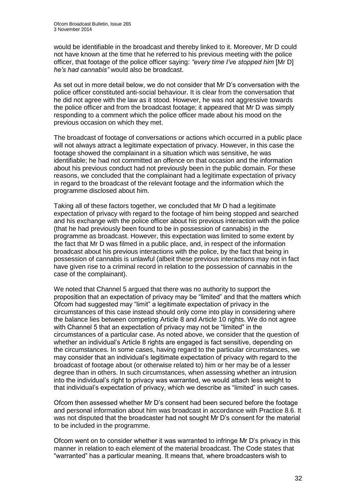would be identifiable in the broadcast and thereby linked to it. Moreover, Mr D could not have known at the time that he referred to his previous meeting with the police officer, that footage of the police officer saying: *"every time I've stopped him* [Mr D] *he's had cannabis"* would also be broadcast.

As set out in more detail below, we do not consider that Mr D's conversation with the police officer constituted anti-social behaviour. It is clear from the conversation that he did not agree with the law as it stood. However, he was not aggressive towards the police officer and from the broadcast footage; it appeared that Mr D was simply responding to a comment which the police officer made about his mood on the previous occasion on which they met.

The broadcast of footage of conversations or actions which occurred in a public place will not always attract a legitimate expectation of privacy. However, in this case the footage showed the complainant in a situation which was sensitive, he was identifiable; he had not committed an offence on that occasion and the information about his previous conduct had not previously been in the public domain. For these reasons, we concluded that the complainant had a legitimate expectation of privacy in regard to the broadcast of the relevant footage and the information which the programme disclosed about him.

Taking all of these factors together, we concluded that Mr D had a legitimate expectation of privacy with regard to the footage of him being stopped and searched and his exchange with the police officer about his previous interaction with the police (that he had previously been found to be in possession of cannabis) in the programme as broadcast. However, this expectation was limited to some extent by the fact that Mr D was filmed in a public place, and, in respect of the information broadcast about his previous interactions with the police, by the fact that being in possession of cannabis is unlawful (albeit these previous interactions may not in fact have given rise to a criminal record in relation to the possession of cannabis in the case of the complainant).

We noted that Channel 5 argued that there was no authority to support the proposition that an expectation of privacy may be "limited" and that the matters which Ofcom had suggested may "limit" a legitimate expectation of privacy in the circumstances of this case instead should only come into play in considering where the balance lies between competing Article 8 and Article 10 rights. We do not agree with Channel 5 that an expectation of privacy may not be "limited" in the circumstances of a particular case. As noted above, we consider that the question of whether an individual's Article 8 rights are engaged is fact sensitive, depending on the circumstances. In some cases, having regard to the particular circumstances, we may consider that an individual's legitimate expectation of privacy with regard to the broadcast of footage about (or otherwise related to) him or her may be of a lesser degree than in others. In such circumstances, when assessing whether an intrusion into the individual's right to privacy was warranted, we would attach less weight to that individual's expectation of privacy, which we describe as "limited" in such cases.

Ofcom then assessed whether Mr D's consent had been secured before the footage and personal information about him was broadcast in accordance with Practice 8.6. It was not disputed that the broadcaster had not sought Mr D's consent for the material to be included in the programme.

Ofcom went on to consider whether it was warranted to infringe Mr D's privacy in this manner in relation to each element of the material broadcast. The Code states that "warranted" has a particular meaning. It means that, where broadcasters wish to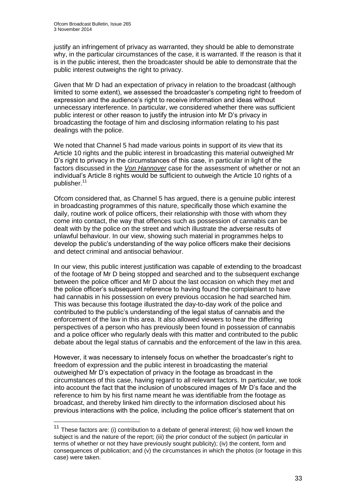1

justify an infringement of privacy as warranted, they should be able to demonstrate why, in the particular circumstances of the case, it is warranted. If the reason is that it is in the public interest, then the broadcaster should be able to demonstrate that the public interest outweighs the right to privacy.

Given that Mr D had an expectation of privacy in relation to the broadcast (although limited to some extent), we assessed the broadcaster's competing right to freedom of expression and the audience's right to receive information and ideas without unnecessary interference. In particular, we considered whether there was sufficient public interest or other reason to justify the intrusion into Mr D's privacy in broadcasting the footage of him and disclosing information relating to his past dealings with the police.

We noted that Channel 5 had made various points in support of its view that its Article 10 rights and the public interest in broadcasting this material outweighed Mr D's right to privacy in the circumstances of this case, in particular in light of the factors discussed in the *Von Hannover* case for the assessment of whether or not an individual's Article 8 rights would be sufficient to outweigh the Article 10 rights of a publisher.<sup>11</sup>

Ofcom considered that, as Channel 5 has argued, there is a genuine public interest in broadcasting programmes of this nature, specifically those which examine the daily, routine work of police officers, their relationship with those with whom they come into contact, the way that offences such as possession of cannabis can be dealt with by the police on the street and which illustrate the adverse results of unlawful behaviour. In our view, showing such material in programmes helps to develop the public's understanding of the way police officers make their decisions and detect criminal and antisocial behaviour.

In our view, this public interest justification was capable of extending to the broadcast of the footage of Mr D being stopped and searched and to the subsequent exchange between the police officer and Mr D about the last occasion on which they met and the police officer's subsequent reference to having found the complainant to have had cannabis in his possession on every previous occasion he had searched him. This was because this footage illustrated the day-to-day work of the police and contributed to the public's understanding of the legal status of cannabis and the enforcement of the law in this area. It also allowed viewers to hear the differing perspectives of a person who has previously been found in possession of cannabis and a police officer who regularly deals with this matter and contributed to the public debate about the legal status of cannabis and the enforcement of the law in this area.

However, it was necessary to intensely focus on whether the broadcaster's right to freedom of expression and the public interest in broadcasting the material outweighed Mr D's expectation of privacy in the footage as broadcast in the circumstances of this case, having regard to all relevant factors. In particular, we took into account the fact that the inclusion of unobscured images of Mr D's face and the reference to him by his first name meant he was identifiable from the footage as broadcast, and thereby linked him directly to the information disclosed about his previous interactions with the police, including the police officer's statement that on

<sup>&</sup>lt;sup>11</sup> These factors are: (i) contribution to a debate of general interest; (ii) how well known the subject is and the nature of the report; (iii) the prior conduct of the subject (in particular in terms of whether or not they have previously sought publicity); (iv) the content, form and consequences of publication; and (v) the circumstances in which the photos (or footage in this case) were taken.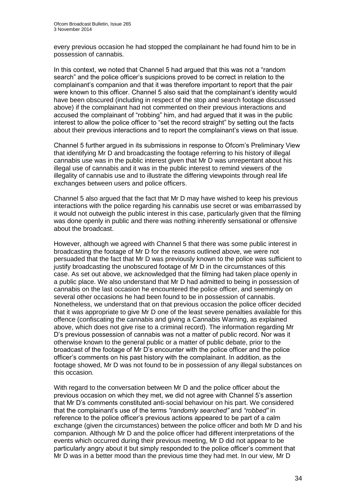every previous occasion he had stopped the complainant he had found him to be in possession of cannabis.

In this context, we noted that Channel 5 had argued that this was not a "random search" and the police officer's suspicions proved to be correct in relation to the complainant's companion and that it was therefore important to report that the pair were known to this officer. Channel 5 also said that the complainant's identity would have been obscured (including in respect of the stop and search footage discussed above) if the complainant had not commented on their previous interactions and accused the complainant of "robbing" him, and had argued that it was in the public interest to allow the police officer to "set the record straight" by setting out the facts about their previous interactions and to report the complainant's views on that issue.

Channel 5 further argued in its submissions in response to Ofcom's Preliminary View that identifying Mr D and broadcasting the footage referring to his history of illegal cannabis use was in the public interest given that Mr D was unrepentant about his illegal use of cannabis and it was in the public interest to remind viewers of the illegality of cannabis use and to illustrate the differing viewpoints through real life exchanges between users and police officers.

Channel 5 also argued that the fact that Mr D may have wished to keep his previous interactions with the police regarding his cannabis use secret or was embarrassed by it would not outweigh the public interest in this case, particularly given that the filming was done openly in public and there was nothing inherently sensational or offensive about the broadcast.

However, although we agreed with Channel 5 that there was some public interest in broadcasting the footage of Mr D for the reasons outlined above, we were not persuaded that the fact that Mr D was previously known to the police was sufficient to justify broadcasting the unobscured footage of Mr D in the circumstances of this case. As set out above, we acknowledged that the filming had taken place openly in a public place. We also understand that Mr D had admitted to being in possession of cannabis on the last occasion he encountered the police officer, and seemingly on several other occasions he had been found to be in possession of cannabis. Nonetheless, we understand that on that previous occasion the police officer decided that it was appropriate to give Mr D one of the least severe penalties available for this offence (confiscating the cannabis and giving a Cannabis Warning, as explained above, which does not give rise to a criminal record). The information regarding Mr D's previous possession of cannabis was not a matter of public record. Nor was it otherwise known to the general public or a matter of public debate, prior to the broadcast of the footage of Mr D's encounter with the police officer and the police officer's comments on his past history with the complainant. In addition, as the footage showed, Mr D was not found to be in possession of any illegal substances on this occasion.

With regard to the conversation between Mr D and the police officer about the previous occasion on which they met, we did not agree with Channel 5's assertion that Mr D's comments constituted anti-social behaviour on his part. We considered that the complainant's use of the terms *"randomly searched"* and *"robbed"* in reference to the police officer's previous actions appeared to be part of a calm exchange (given the circumstances) between the police officer and both Mr D and his companion. Although Mr D and the police officer had different interpretations of the events which occurred during their previous meeting, Mr D did not appear to be particularly angry about it but simply responded to the police officer's comment that Mr D was in a better mood than the previous time they had met. In our view, Mr D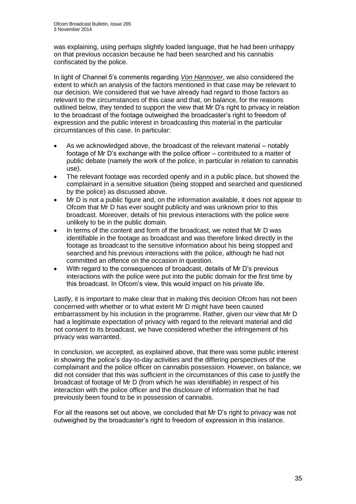was explaining, using perhaps slightly loaded language, that he had been unhappy on that previous occasion because he had been searched and his cannabis confiscated by the police.

In light of Channel 5's comments regarding *Von Hannover*, we also considered the extent to which an analysis of the factors mentioned in that case may be relevant to our decision. We considered that we have already had regard to those factors as relevant to the circumstances of this case and that, on balance, for the reasons outlined below, they tended to support the view that Mr D's right to privacy in relation to the broadcast of the footage outweighed the broadcaster's right to freedom of expression and the public interest in broadcasting this material in the particular circumstances of this case. In particular:

- As we acknowledged above, the broadcast of the relevant material notably footage of Mr D's exchange with the police officer – contributed to a matter of public debate (namely the work of the police, in particular in relation to cannabis use).
- The relevant footage was recorded openly and in a public place, but showed the complainant in a sensitive situation (being stopped and searched and questioned by the police) as discussed above.
- Mr D is not a public figure and, on the information available, it does not appear to Ofcom that Mr D has ever sought publicity and was unknown prior to this broadcast. Moreover, details of his previous interactions with the police were unlikely to be in the public domain.
- In terms of the content and form of the broadcast, we noted that Mr D was identifiable in the footage as broadcast and was therefore linked directly in the footage as broadcast to the sensitive information about his being stopped and searched and his previous interactions with the police, although he had not committed an offence on the occasion in question.
- With regard to the consequences of broadcast, details of Mr D's previous interactions with the police were put into the public domain for the first time by this broadcast. In Ofcom's view, this would impact on his private life.

Lastly, it is important to make clear that in making this decision Ofcom has not been concerned with whether or to what extent Mr D might have been caused embarrassment by his inclusion in the programme. Rather, given our view that Mr D had a legitimate expectation of privacy with regard to the relevant material and did not consent to its broadcast, we have considered whether the infringement of his privacy was warranted.

In conclusion, we accepted, as explained above, that there was some public interest in showing the police's day-to-day activities and the differing perspectives of the complainant and the police officer on cannabis possession. However, on balance, we did not consider that this was sufficient in the circumstances of this case to justify the broadcast of footage of Mr D (from which he was identifiable) in respect of his interaction with the police officer and the disclosure of information that he had previously been found to be in possession of cannabis.

For all the reasons set out above, we concluded that Mr D's right to privacy was not outweighed by the broadcaster's right to freedom of expression in this instance.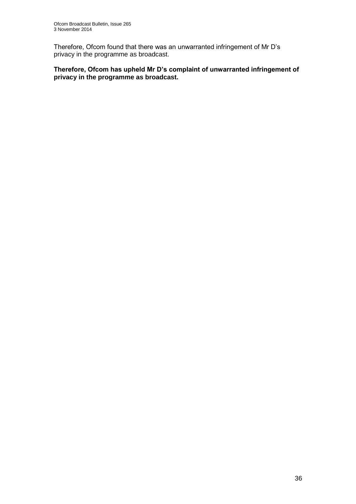Therefore, Ofcom found that there was an unwarranted infringement of Mr D's privacy in the programme as broadcast.

### **Therefore, Ofcom has upheld Mr D's complaint of unwarranted infringement of privacy in the programme as broadcast.**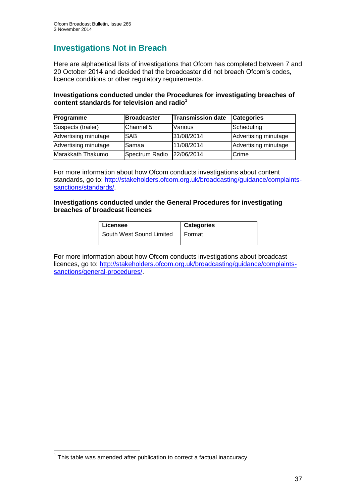# **Investigations Not in Breach**

Here are alphabetical lists of investigations that Ofcom has completed between 7 and 20 October 2014 and decided that the broadcaster did not breach Ofcom's codes, licence conditions or other regulatory requirements.

### **Investigations conducted under the Procedures for investigating breaches of content standards for television and radio<sup>1</sup>**

| Programme            | <b>Broadcaster</b>        | <b>Transmission date</b> | <b>Categories</b>    |
|----------------------|---------------------------|--------------------------|----------------------|
| Suspects (trailer)   | Channel 5                 | Various                  | Scheduling           |
| Advertising minutage | <b>SAB</b>                | 31/08/2014               | Advertising minutage |
| Advertising minutage | Samaa                     | 11/08/2014               | Advertising minutage |
| Marakkath Thakumo    | Spectrum Radio 22/06/2014 |                          | <b>ICrime</b>        |

For more information about how Ofcom conducts investigations about content standards, go to: [http://stakeholders.ofcom.org.uk/broadcasting/guidance/complaints](http://stakeholders.ofcom.org.uk/broadcasting/guidance/complaints-sanctions/standards/)[sanctions/standards/.](http://stakeholders.ofcom.org.uk/broadcasting/guidance/complaints-sanctions/standards/)

### **Investigations conducted under the General Procedures for investigating breaches of broadcast licences**

| Licensee                 | <b>Categories</b> |
|--------------------------|-------------------|
| South West Sound Limited | Format            |

For more information about how Ofcom conducts investigations about broadcast licences, go to: [http://stakeholders.ofcom.org.uk/broadcasting/guidance/complaints](http://stakeholders.ofcom.org.uk/broadcasting/guidance/complaints-sanctions/general-procedures/)[sanctions/general-procedures/.](http://stakeholders.ofcom.org.uk/broadcasting/guidance/complaints-sanctions/general-procedures/)

1

 $1$  This table was amended after publication to correct a factual inaccuracy.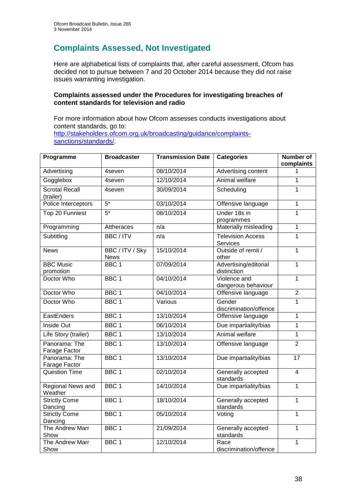# **Complaints Assessed, Not Investigated**

Here are alphabetical lists of complaints that, after careful assessment, Ofcom has decided not to pursue between 7 and 20 October 2014 because they did not raise issues warranting investigation.

### **Complaints assessed under the Procedures for investigating breaches of content standards for television and radio**

For more information about how Ofcom assesses conducts investigations about content standards, go to: [http://stakeholders.ofcom.org.uk/broadcasting/guidance/complaints](http://stakeholders.ofcom.org.uk/broadcasting/guidance/complaints-sanctions/standards/)sanctions/standards/

| Programme                          | <b>Broadcaster</b>             | <b>Transmission Date</b> | <b>Categories</b>                    | <b>Number of</b><br>complaints |
|------------------------------------|--------------------------------|--------------------------|--------------------------------------|--------------------------------|
| Advertising                        | 4seven                         | 08/10/2014               | Advertising content                  | 1                              |
| Gogglebox                          | 4seven                         | 12/10/2014               | Animal welfare                       | 1                              |
| <b>Scrotal Recall</b><br>(trailer) | 4seven                         | 30/09/2014               | Scheduling                           | $\mathbf{1}$                   |
| Police Interceptors                | $5*$                           | 03/10/2014               | Offensive language                   | $\mathbf{1}$                   |
| Top 20 Funniest                    | $\overline{5^*}$               | 08/10/2014               | Under 18s in<br>programmes           | $\mathbf{1}$                   |
| Programming                        | Attheraces                     | n/a                      | Materially misleading                | $\mathbf 1$                    |
| Subtitling                         | <b>BBC/ITV</b>                 | n/a                      | <b>Television Access</b><br>Services | 1                              |
| <b>News</b>                        | BBC / ITV / Sky<br><b>News</b> | 15/10/2014               | Outside of remit /<br>other          | $\overline{1}$                 |
| <b>BBC Music</b><br>promotion      | BBC <sub>1</sub>               | 07/09/2014               | Advertising/editorial<br>distinction | $\overline{1}$                 |
| Doctor Who                         | BBC <sub>1</sub>               | 04/10/2014               | Violence and<br>dangerous behaviour  | $\mathbf{1}$                   |
| Doctor Who                         | BBC <sub>1</sub>               | 04/10/2014               | Offensive language                   | $\overline{2}$                 |
| Doctor Who                         | BBC <sub>1</sub>               | Various                  | Gender<br>discrimination/offence     | $\mathbf{1}$                   |
| EastEnders                         | BBC <sub>1</sub>               | 13/10/2014               | Offensive language                   | $\mathbf{1}$                   |
| Inside Out                         | BBC 1                          | 06/10/2014               | Due impartiality/bias                | 1                              |
| Life Story (trailer)               | BBC <sub>1</sub>               | 13/10/2014               | Animal welfare                       | $\overline{1}$                 |
| Panorama: The<br>Farage Factor     | BBC <sub>1</sub>               | 13/10/2014               | Offensive language                   | $\overline{2}$                 |
| Panorama: The<br>Farage Factor     | BBC <sub>1</sub>               | 13/10/2014               | Due impartiality/bias                | $\overline{17}$                |
| <b>Question Time</b>               | BBC <sub>1</sub>               | 02/10/2014               | Generally accepted<br>standards      | $\overline{4}$                 |
| Regional News and<br>Weather       | BBC <sub>1</sub>               | 14/10/2014               | Due impartiality/bias                | $\mathbf{1}$                   |
| <b>Strictly Come</b><br>Dancing    | BBC <sub>1</sub>               | 18/10/2014               | Generally accepted<br>standards      | $\mathbf{1}$                   |
| <b>Strictly Come</b><br>Dancing    | BBC <sub>1</sub>               | 05/10/2014               | Voting                               | $\mathbf{1}$                   |
| The Andrew Marr<br>Show            | BBC <sub>1</sub>               | 21/09/2014               | Generally accepted<br>standards      | $\mathbf{1}$                   |
| The Andrew Marr<br>Show            | BBC <sub>1</sub>               | 12/10/2014               | Race<br>discrimination/offence       | $\overline{1}$                 |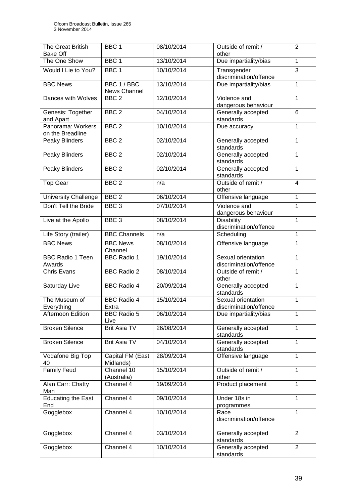| The Great British<br><b>Bake Off</b>  | BBC <sub>1</sub>              | 08/10/2014 | Outside of remit /<br>other                  | $\overline{2}$ |
|---------------------------------------|-------------------------------|------------|----------------------------------------------|----------------|
| The One Show                          | BBC <sub>1</sub>              | 13/10/2014 | Due impartiality/bias                        | 1              |
| Would I Lie to You?                   | BBC <sub>1</sub>              | 10/10/2014 | Transgender<br>discrimination/offence        | 3              |
| <b>BBC News</b>                       | BBC 1 / BBC<br>News Channel   | 13/10/2014 | Due impartiality/bias                        | 1              |
| Dances with Wolves                    | BBC <sub>2</sub>              | 12/10/2014 | Violence and<br>dangerous behaviour          | 1              |
| Genesis: Together<br>and Apart        | BBC <sub>2</sub>              | 04/10/2014 | Generally accepted<br>standards              | $\overline{6}$ |
| Panorama: Workers<br>on the Breadline | BBC <sub>2</sub>              | 10/10/2014 | Due accuracy                                 | $\mathbf{1}$   |
| Peaky Blinders                        | BBC <sub>2</sub>              | 02/10/2014 | Generally accepted<br>standards              | $\mathbf{1}$   |
| Peaky Blinders                        | BBC <sub>2</sub>              | 02/10/2014 | Generally accepted<br>standards              | 1              |
| Peaky Blinders                        | BBC <sub>2</sub>              | 02/10/2014 | Generally accepted<br>standards              | 1              |
| <b>Top Gear</b>                       | BBC <sub>2</sub>              | n/a        | Outside of remit /<br>other                  | $\overline{4}$ |
| <b>University Challenge</b>           | BBC <sub>2</sub>              | 06/10/2014 | Offensive language                           | $\mathbf{1}$   |
| Don't Tell the Bride                  | BBC <sub>3</sub>              | 07/10/2014 | Violence and<br>dangerous behaviour          | $\overline{1}$ |
| Live at the Apollo                    | BBC <sub>3</sub>              | 08/10/2014 | <b>Disability</b><br>discrimination/offence  | $\mathbf{1}$   |
| Life Story (trailer)                  | <b>BBC Channels</b>           | n/a        | Scheduling                                   | 1              |
| <b>BBC News</b>                       | <b>BBC News</b><br>Channel    | 08/10/2014 | Offensive language                           | 1              |
| <b>BBC Radio 1 Teen</b><br>Awards     | <b>BBC</b> Radio 1            | 19/10/2014 | Sexual orientation<br>discrimination/offence | $\mathbf{1}$   |
| <b>Chris Evans</b>                    | <b>BBC Radio 2</b>            | 08/10/2014 | Outside of remit /<br>other                  | $\mathbf{1}$   |
| Saturday Live                         | <b>BBC Radio 4</b>            | 20/09/2014 | Generally accepted<br>standards              | $\mathbf 1$    |
| The Museum of<br>Everything           | <b>BBC Radio 4</b><br>Extra   | 15/10/2014 | Sexual orientation<br>discrimination/offence | 1              |
| Afternoon Edition                     | <b>BBC Radio 5</b><br>Live    | 06/10/2014 | Due impartiality/bias                        | 1              |
| <b>Broken Silence</b>                 | <b>Brit Asia TV</b>           | 26/08/2014 | Generally accepted<br>standards              | $\mathbf{1}$   |
| <b>Broken Silence</b>                 | <b>Brit Asia TV</b>           | 04/10/2014 | Generally accepted<br>standards              | $\mathbf{1}$   |
| Vodafone Big Top<br>40                | Capital FM (East<br>Midlands) | 28/09/2014 | Offensive language                           | $\overline{1}$ |
| <b>Family Feud</b>                    | Channel 10<br>(Australia)     | 15/10/2014 | Outside of remit /<br>other                  | $\mathbf{1}$   |
| Alan Carr: Chatty<br>Man              | Channel 4                     | 19/09/2014 | Product placement                            | $\mathbf{1}$   |
| <b>Educating the East</b><br>End      | Channel 4                     | 09/10/2014 | Under 18s in<br>programmes                   | $\mathbf{1}$   |
| Gogglebox                             | Channel 4                     | 10/10/2014 | Race<br>discrimination/offence               | $\mathbf{1}$   |
| Gogglebox                             | Channel 4                     | 03/10/2014 | Generally accepted<br>standards              | $\overline{2}$ |
| Gogglebox                             | Channel 4                     | 10/10/2014 | Generally accepted<br>standards              | $\overline{2}$ |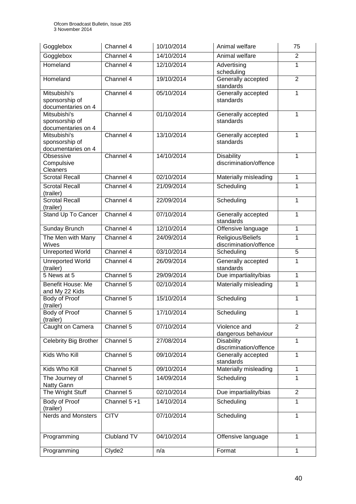| Gogglebox                                            | Channel 4          | 10/10/2014 | Animal welfare                              | 75             |
|------------------------------------------------------|--------------------|------------|---------------------------------------------|----------------|
| Gogglebox                                            | Channel 4          | 14/10/2014 | Animal welfare                              | $\overline{2}$ |
| Homeland                                             | Channel 4          | 12/10/2014 | Advertising<br>scheduling                   | $\overline{1}$ |
| Homeland                                             | Channel 4          | 19/10/2014 | Generally accepted<br>standards             | $\overline{2}$ |
| Mitsubishi's<br>sponsorship of                       | Channel 4          | 05/10/2014 | Generally accepted<br>standards             | $\overline{1}$ |
| documentaries on 4<br>Mitsubishi's                   | Channel 4          | 01/10/2014 | Generally accepted                          | $\mathbf{1}$   |
| sponsorship of<br>documentaries on 4                 |                    |            | standards                                   |                |
| Mitsubishi's<br>sponsorship of<br>documentaries on 4 | Channel $4$        | 13/10/2014 | Generally accepted<br>standards             | 1              |
| Obsessive<br>Compulsive<br>Cleaners                  | Channel $4$        | 14/10/2014 | <b>Disability</b><br>discrimination/offence | $\mathbf 1$    |
| <b>Scrotal Recall</b>                                | Channel 4          | 02/10/2014 | Materially misleading                       | $\mathbf{1}$   |
| <b>Scrotal Recall</b><br>(trailer)                   | Channel 4          | 21/09/2014 | Scheduling                                  | 1              |
| <b>Scrotal Recall</b><br>(trailer)                   | Channel 4          | 22/09/2014 | Scheduling                                  | 1              |
| Stand Up To Cancer                                   | Channel 4          | 07/10/2014 | Generally accepted<br>standards             | $\mathbf{1}$   |
| Sunday Brunch                                        | Channel 4          | 12/10/2014 | Offensive language                          | $\mathbf{1}$   |
| The Men with Many<br>Wives                           | Channel 4          | 24/09/2014 | Religious/Beliefs<br>discrimination/offence | 1              |
| <b>Unreported World</b>                              | Channel 4          | 03/10/2014 | Scheduling                                  | 5              |
| <b>Unreported World</b><br>(trailer)                 | Channel 4          | 26/09/2014 | Generally accepted<br>standards             | $\mathbf{1}$   |
| 5 News at 5                                          | Channel 5          | 29/09/2014 | Due impartiality/bias                       | $\mathbf{1}$   |
| Benefit House: Me<br>and My 22 Kids                  | Channel 5          | 02/10/2014 | Materially misleading                       | $\overline{1}$ |
| Body of Proof<br>(trailer)                           | Channel 5          | 15/10/2014 | Scheduling                                  | 1              |
| Body of Proof<br>(trailer)                           | Channel 5          | 17/10/2014 | Scheduling                                  | 1              |
| Caught on Camera                                     | Channel 5          | 07/10/2014 | Violence and<br>dangerous behaviour         | $\overline{2}$ |
| Celebrity Big Brother                                | Channel 5          | 27/08/2014 | <b>Disability</b><br>discrimination/offence | $\mathbf{1}$   |
| Kids Who Kill                                        | Channel 5          | 09/10/2014 | Generally accepted<br>standards             | 1              |
| Kids Who Kill                                        | Channel 5          | 09/10/2014 | Materially misleading                       | $\mathbf{1}$   |
| The Journey of<br>Natty Gann                         | Channel 5          | 14/09/2014 | Scheduling                                  | 1              |
| The Wright Stuff                                     | Channel 5          | 02/10/2014 | Due impartiality/bias                       | $\overline{2}$ |
| Body of Proof<br>(trailer)                           | Channel 5 +1       | 14/10/2014 | Scheduling                                  | 1              |
| <b>Nerds and Monsters</b>                            | <b>CITV</b>        | 07/10/2014 | Scheduling                                  | $\mathbf{1}$   |
| Programming                                          | <b>Clubland TV</b> | 04/10/2014 | Offensive language                          | 1              |
| Programming                                          | Clyde2             | n/a        | Format                                      | 1              |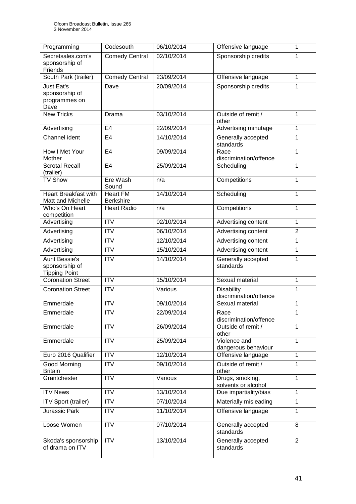| Programming                                                    | Codesouth                           | 06/10/2014 | Offensive language                          | 1              |
|----------------------------------------------------------------|-------------------------------------|------------|---------------------------------------------|----------------|
| Secretsales.com's<br>sponsorship of<br>Friends                 | <b>Comedy Central</b>               | 02/10/2014 | Sponsorship credits                         | 1              |
| South Park (trailer)                                           | <b>Comedy Central</b>               | 23/09/2014 | Offensive language                          | 1              |
| <b>Just Eat's</b><br>sponsorship of<br>programmes on<br>Dave   | Dave                                | 20/09/2014 | Sponsorship credits                         | 1              |
| <b>New Tricks</b>                                              | Drama                               | 03/10/2014 | Outside of remit /<br>other                 | 1              |
| Advertising                                                    | E <sub>4</sub>                      | 22/09/2014 | Advertising minutage                        | 1              |
| Channel ident                                                  | E <sub>4</sub>                      | 14/10/2014 | Generally accepted<br>standards             | 1              |
| How I Met Your<br>Mother                                       | E <sub>4</sub>                      | 09/09/2014 | Race<br>discrimination/offence              | $\overline{1}$ |
| <b>Scrotal Recall</b><br>(trailer)                             | E <sub>4</sub>                      | 25/09/2014 | Scheduling                                  | $\mathbf{1}$   |
| <b>TV Show</b>                                                 | Ere Wash<br>Sound                   | n/a        | Competitions                                | 1              |
| <b>Heart Breakfast with</b><br>Matt and Michelle               | <b>Heart FM</b><br><b>Berkshire</b> | 14/10/2014 | Scheduling                                  | $\mathbf{1}$   |
| Who's On Heart<br>competition                                  | <b>Heart Radio</b>                  | n/a        | Competitions                                | $\mathbf{1}$   |
| Advertising                                                    | <b>ITV</b>                          | 02/10/2014 | Advertising content                         | $\mathbf{1}$   |
| Advertising                                                    | <b>ITV</b>                          | 06/10/2014 | Advertising content                         | $\overline{2}$ |
| Advertising                                                    | <b>ITV</b>                          | 12/10/2014 | Advertising content                         | 1              |
| Advertising                                                    | <b>ITV</b>                          | 15/10/2014 | Advertising content                         | 1              |
| <b>Aunt Bessie's</b><br>sponsorship of<br><b>Tipping Point</b> | <b>ITV</b>                          | 14/10/2014 | Generally accepted<br>standards             | 1              |
| <b>Coronation Street</b>                                       | <b>ITV</b>                          | 15/10/2014 | Sexual material                             | 1              |
| <b>Coronation Street</b>                                       | <b>ITV</b>                          | Various    | <b>Disability</b><br>discrimination/offence | 1              |
| Emmerdale                                                      | <b>ITV</b>                          | 09/10/2014 | Sexual material                             | 1              |
| Emmerdale                                                      | <b>ITV</b>                          | 22/09/2014 | Race<br>discrimination/offence              | 1              |
| Emmerdale                                                      | ITV                                 | 26/09/2014 | Outside of remit /<br>other                 | $\mathbf{1}$   |
| Emmerdale                                                      | <b>ITV</b>                          | 25/09/2014 | Violence and<br>dangerous behaviour         | $\mathbf{1}$   |
| Euro 2016 Qualifier                                            | <b>ITV</b>                          | 12/10/2014 | Offensive language                          | $\mathbf{1}$   |
| <b>Good Morning</b><br><b>Britain</b>                          | $\overline{ITV}$                    | 09/10/2014 | Outside of remit /<br>other                 | 1              |
| Grantchester                                                   | <b>ITV</b>                          | Various    | Drugs, smoking,<br>solvents or alcohol      | $\mathbf{1}$   |
| <b>ITV News</b>                                                | $\overline{IV}$                     | 13/10/2014 | Due impartiality/bias                       | $\mathbf{1}$   |
| <b>ITV Sport (trailer)</b>                                     | <b>ITV</b>                          | 07/10/2014 | Materially misleading                       | $\mathbf{1}$   |
| Jurassic Park                                                  | <b>ITV</b>                          | 11/10/2014 | Offensive language                          | $\mathbf{1}$   |
| Loose Women                                                    | $\overline{IV}$                     | 07/10/2014 | Generally accepted<br>standards             | 8              |
| Skoda's sponsorship<br>of drama on ITV                         | ITV                                 | 13/10/2014 | Generally accepted<br>standards             | $\overline{2}$ |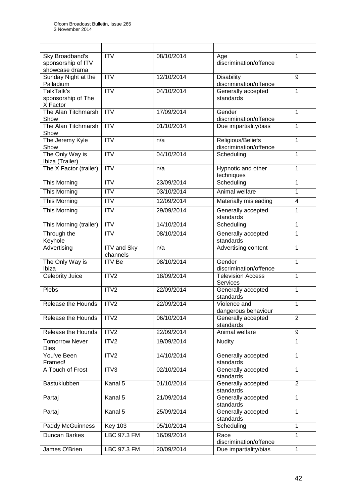| Sky Broadband's<br>sponsorship of ITV<br>showcase drama | $\overline{\text{IV}}$         | 08/10/2014 | Age<br>discrimination/offence               | 1                       |
|---------------------------------------------------------|--------------------------------|------------|---------------------------------------------|-------------------------|
| Sunday Night at the<br>Palladium                        | $\overline{\text{IV}}$         | 12/10/2014 | <b>Disability</b><br>discrimination/offence | 9                       |
| TalkTalk's<br>sponsorship of The<br>X Factor            | $\overline{ITV}$               | 04/10/2014 | Generally accepted<br>standards             | 1                       |
| The Alan Titchmarsh<br>Show                             | <b>ITV</b>                     | 17/09/2014 | Gender<br>discrimination/offence            | 1                       |
| The Alan Titchmarsh<br>Show                             | $\overline{ITV}$               | 01/10/2014 | Due impartiality/bias                       | 1                       |
| The Jeremy Kyle<br>Show                                 | $\overline{ITV}$               | n/a        | Religious/Beliefs<br>discrimination/offence | 1                       |
| The Only Way is<br>Ibiza (Trailer)                      | $\overline{IV}$                | 04/10/2014 | Scheduling                                  | 1                       |
| The X Factor (trailer)                                  | <b>ITV</b>                     | n/a        | Hypnotic and other<br>techniques            | 1                       |
| This Morning                                            | <b>ITV</b>                     | 23/09/2014 | Scheduling                                  | 1                       |
| <b>This Morning</b>                                     | <b>ITV</b>                     | 03/10/2014 | Animal welfare                              | 1                       |
| <b>This Morning</b>                                     | <b>ITV</b>                     | 12/09/2014 | Materially misleading                       | $\overline{\mathbf{4}}$ |
| <b>This Morning</b>                                     | $\overline{ITV}$               | 29/09/2014 | Generally accepted<br>standards             | 1                       |
| This Morning (trailer)                                  | $\overline{IV}$                | 14/10/2014 | Scheduling                                  | $\mathbf{1}$            |
| Through the<br>Keyhole                                  | <b>ITV</b>                     | 08/10/2014 | Generally accepted<br>standards             | 1                       |
| Advertising                                             | <b>ITV</b> and Sky<br>channels | n/a        | Advertising content                         | 1                       |
| The Only Way is<br>Ibiza                                | <b>ITV Be</b>                  | 08/10/2014 | Gender<br>discrimination/offence            | $\mathbf{1}$            |
| <b>Celebrity Juice</b>                                  | ITV2                           | 18/09/2014 | <b>Television Access</b><br>Services        | 1                       |
| Plebs                                                   | ITV2                           | 22/09/2014 | Generally accepted<br>standards             | 1                       |
| Release the Hounds                                      | ITV2                           | 22/09/2014 | Violence and<br>dangerous behaviour         | 1                       |
| Release the Hounds                                      | ITV <sub>2</sub>               | 06/10/2014 | Generally accepted<br>standards             | $\overline{2}$          |
| Release the Hounds                                      | ITV2                           | 22/09/2014 | Animal welfare                              | 9                       |
| <b>Tomorrow Never</b><br><b>Dies</b>                    | ITV <sub>2</sub>               | 19/09/2014 | <b>Nudity</b>                               | $\mathbf{1}$            |
| You've Been<br>Framed!                                  | ITV2                           | 14/10/2014 | Generally accepted<br>standards             | $\mathbf{1}$            |
| A Touch of Frost                                        | ITV3                           | 02/10/2014 | Generally accepted<br>standards             | $\mathbf{1}$            |
| Bastuklubben                                            | Kanal 5                        | 01/10/2014 | Generally accepted<br>standards             | $\overline{2}$          |
| Partaj                                                  | Kanal 5                        | 21/09/2014 | Generally accepted<br>standards             | $\mathbf{1}$            |
| Partaj                                                  | Kanal 5                        | 25/09/2014 | Generally accepted<br>standards             | $\mathbf{1}$            |
| Paddy McGuinness                                        | <b>Key 103</b>                 | 05/10/2014 | Scheduling                                  | $\mathbf{1}$            |
| Duncan Barkes                                           | LBC 97.3 FM                    | 16/09/2014 | Race<br>discrimination/offence              | $\mathbf{1}$            |
| James O'Brien                                           | LBC 97.3 FM                    | 20/09/2014 | Due impartiality/bias                       | $\mathbf{1}$            |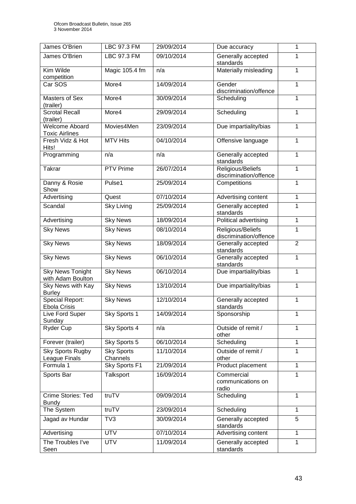| James O'Brien                                 | <b>LBC 97.3 FM</b>            | 29/09/2014 | Due accuracy                                | 1              |
|-----------------------------------------------|-------------------------------|------------|---------------------------------------------|----------------|
| James O'Brien                                 | <b>LBC 97.3 FM</b>            | 09/10/2014 | Generally accepted<br>standards             | 1              |
| Kim Wilde<br>competition                      | Magic 105.4 fm                | n/a        | Materially misleading                       | 1              |
| Car SOS                                       | More4                         | 14/09/2014 | Gender<br>discrimination/offence            | 1              |
| Masters of Sex<br>(trailer)                   | More4                         | 30/09/2014 | Scheduling                                  | 1              |
| <b>Scrotal Recall</b><br>(trailer)            | More4                         | 29/09/2014 | Scheduling                                  | 1              |
| Welcome Aboard<br><b>Toxic Airlines</b>       | Movies4Men                    | 23/09/2014 | Due impartiality/bias                       | $\mathbf{1}$   |
| Fresh Vidz & Hot<br>Hits!                     | <b>MTV Hits</b>               | 04/10/2014 | Offensive language                          | 1              |
| Programming                                   | n/a                           | n/a        | Generally accepted<br>standards             | 1              |
| Takrar                                        | <b>PTV Prime</b>              | 26/07/2014 | Religious/Beliefs<br>discrimination/offence | $\mathbf{1}$   |
| Danny & Rosie<br>Show                         | Pulse1                        | 25/09/2014 | Competitions                                | 1              |
| Advertising                                   | Quest                         | 07/10/2014 | Advertising content                         | $\mathbf{1}$   |
| Scandal                                       | <b>Sky Living</b>             | 25/09/2014 | Generally accepted<br>standards             | 1              |
| Advertising                                   | <b>Sky News</b>               | 18/09/2014 | Political advertising                       | $\mathbf{1}$   |
| <b>Sky News</b>                               | <b>Sky News</b>               | 08/10/2014 | Religious/Beliefs<br>discrimination/offence | 1              |
| <b>Sky News</b>                               | <b>Sky News</b>               | 18/09/2014 | Generally accepted<br>standards             | $\overline{2}$ |
| <b>Sky News</b>                               | <b>Sky News</b>               | 06/10/2014 | Generally accepted<br>standards             | $\mathbf{1}$   |
| <b>Sky News Tonight</b><br>with Adam Boulton  | <b>Sky News</b>               | 06/10/2014 | Due impartiality/bias                       | 1              |
| Sky News with Kay<br><b>Burley</b>            | <b>Sky News</b>               | 13/10/2014 | Due impartiality/bias                       | 1              |
| <b>Special Report:</b><br><b>Ebola Crisis</b> | <b>Sky News</b>               | 12/10/2014 | Generally accepted<br>standards             | 1              |
| Live Ford Super<br>Sunday                     | Sky Sports 1                  | 14/09/2014 | Sponsorship                                 | 1              |
| Ryder Cup                                     | Sky Sports 4                  | n/a        | Outside of remit /<br>other                 | 1              |
| Forever (trailer)                             | Sky Sports 5                  | 06/10/2014 | Scheduling                                  | $\overline{1}$ |
| <b>Sky Sports Rugby</b><br>League Finals      | <b>Sky Sports</b><br>Channels | 11/10/2014 | Outside of remit /<br>other                 | 1              |
| Formula 1                                     | Sky Sports F1                 | 21/09/2014 | Product placement                           | $\mathbf{1}$   |
| Sports Bar                                    | Talksport                     | 16/09/2014 | Commercial<br>communications on<br>radio    | $\mathbf{1}$   |
| Crime Stories: Ted<br><b>Bundy</b>            | truTV                         | 09/09/2014 | Scheduling                                  | $\mathbf{1}$   |
| The System                                    | truTV                         | 23/09/2014 | Scheduling                                  | $\mathbf{1}$   |
| Jagad av Hundar                               | TV <sub>3</sub>               | 30/09/2014 | Generally accepted<br>standards             | $\overline{5}$ |
| Advertising                                   | <b>UTV</b>                    | 07/10/2014 | Advertising content                         | $\mathbf{1}$   |
| The Troubles I've<br>Seen                     | <b>UTV</b>                    | 11/09/2014 | Generally accepted<br>standards             | 1              |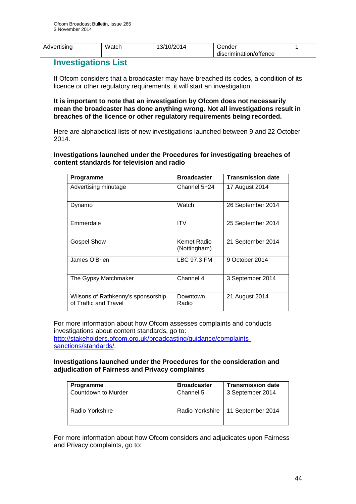| Advertising | Watch | 13/10/2014 | Gender                 |  |
|-------------|-------|------------|------------------------|--|
|             |       |            | discrimination/offence |  |

### **Investigations List**

If Ofcom considers that a broadcaster may have breached its codes, a condition of its licence or other regulatory requirements, it will start an investigation.

**It is important to note that an investigation by Ofcom does not necessarily mean the broadcaster has done anything wrong. Not all investigations result in breaches of the licence or other regulatory requirements being recorded.**

Here are alphabetical lists of new investigations launched between 9 and 22 October 2014.

### **Investigations launched under the Procedures for investigating breaches of content standards for television and radio**

| Programme                                                   | <b>Broadcaster</b>          | <b>Transmission date</b> |
|-------------------------------------------------------------|-----------------------------|--------------------------|
| Advertising minutage                                        | Channel 5+24                | 17 August 2014           |
| Dynamo                                                      | Watch                       | 26 September 2014        |
| Emmerdale                                                   | <b>ITV</b>                  | 25 September 2014        |
| <b>Gospel Show</b>                                          | Kemet Radio<br>(Nottingham) | 21 September 2014        |
| James O'Brien                                               | LBC 97.3 FM                 | 9 October 2014           |
| The Gypsy Matchmaker                                        | Channel 4                   | 3 September 2014         |
| Wilsons of Rathkenny's sponsorship<br>of Traffic and Travel | Downtown<br>Radio           | 21 August 2014           |

For more information about how Ofcom assesses complaints and conducts investigations about content standards, go to:

[http://stakeholders.ofcom.org.uk/broadcasting/guidance/complaints](http://stakeholders.ofcom.org.uk/broadcasting/guidance/complaints-sanctions/standards/)[sanctions/standards/.](http://stakeholders.ofcom.org.uk/broadcasting/guidance/complaints-sanctions/standards/)

### **Investigations launched under the Procedures for the consideration and adjudication of Fairness and Privacy complaints**

| <b>Programme</b>    | <b>Broadcaster</b> | <b>Transmission date</b>            |
|---------------------|--------------------|-------------------------------------|
| Countdown to Murder | Channel 5          | 3 September 2014                    |
| Radio Yorkshire     |                    | Radio Yorkshire   11 September 2014 |

For more information about how Ofcom considers and adjudicates upon Fairness and Privacy complaints, go to: